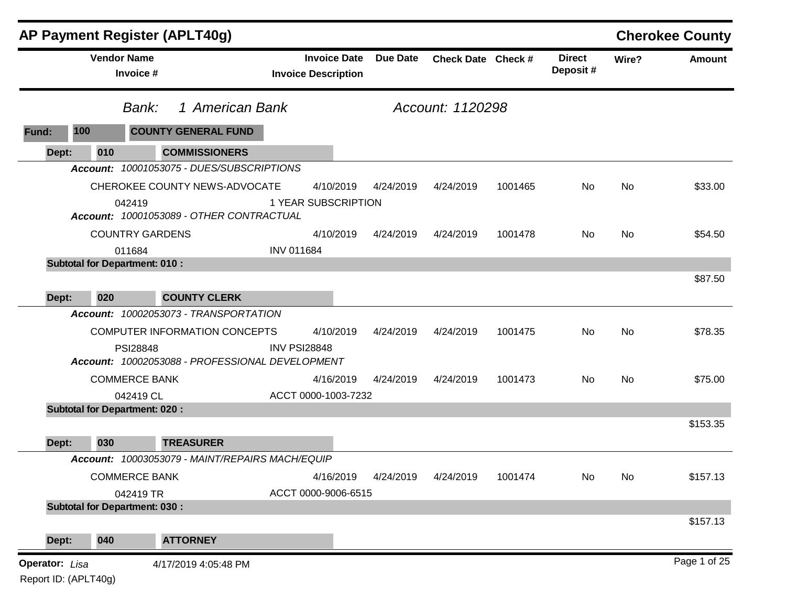|                                               |                                                   | <b>AP Payment Register (APLT40g)</b>                                |                     |                                                   |                 |                    |         |                           |           | <b>Cherokee County</b> |
|-----------------------------------------------|---------------------------------------------------|---------------------------------------------------------------------|---------------------|---------------------------------------------------|-----------------|--------------------|---------|---------------------------|-----------|------------------------|
|                                               | <b>Vendor Name</b><br>Invoice #                   |                                                                     |                     | <b>Invoice Date</b><br><b>Invoice Description</b> | <b>Due Date</b> | Check Date Check # |         | <b>Direct</b><br>Deposit# | Wire?     | Amount                 |
|                                               | Bank:                                             | 1 American Bank                                                     |                     |                                                   |                 | Account: 1120298   |         |                           |           |                        |
| 100<br>Fund:                                  |                                                   | <b>COUNTY GENERAL FUND</b>                                          |                     |                                                   |                 |                    |         |                           |           |                        |
| Dept:                                         | 010                                               | <b>COMMISSIONERS</b>                                                |                     |                                                   |                 |                    |         |                           |           |                        |
|                                               |                                                   | Account: 10001053075 - DUES/SUBSCRIPTIONS                           |                     |                                                   |                 |                    |         |                           |           |                        |
|                                               |                                                   | CHEROKEE COUNTY NEWS-ADVOCATE                                       |                     | 4/10/2019                                         | 4/24/2019       | 4/24/2019          | 1001465 | No                        | <b>No</b> | \$33.00                |
|                                               | 042419                                            | Account: 10001053089 - OTHER CONTRACTUAL                            |                     | 1 YEAR SUBSCRIPTION                               |                 |                    |         |                           |           |                        |
|                                               | <b>COUNTRY GARDENS</b>                            |                                                                     |                     | 4/10/2019                                         | 4/24/2019       | 4/24/2019          | 1001478 | No                        | <b>No</b> | \$54.50                |
|                                               | 011684                                            |                                                                     | <b>INV 011684</b>   |                                                   |                 |                    |         |                           |           |                        |
|                                               | <b>Subtotal for Department: 010:</b>              |                                                                     |                     |                                                   |                 |                    |         |                           |           |                        |
|                                               |                                                   |                                                                     |                     |                                                   |                 |                    |         |                           |           | \$87.50                |
| Dept:                                         | 020                                               | <b>COUNTY CLERK</b>                                                 |                     |                                                   |                 |                    |         |                           |           |                        |
|                                               |                                                   | Account: 10002053073 - TRANSPORTATION                               |                     |                                                   |                 |                    |         |                           |           |                        |
|                                               |                                                   | COMPUTER INFORMATION CONCEPTS                                       |                     | 4/10/2019                                         | 4/24/2019       | 4/24/2019          | 1001475 | No                        | <b>No</b> | \$78.35                |
|                                               | <b>PSI28848</b>                                   | Account: 10002053088 - PROFESSIONAL DEVELOPMENT                     | <b>INV PSI28848</b> |                                                   |                 |                    |         |                           |           |                        |
|                                               | <b>COMMERCE BANK</b>                              |                                                                     |                     | 4/16/2019                                         | 4/24/2019       | 4/24/2019          | 1001473 | No.                       | <b>No</b> | \$75.00                |
|                                               | 042419 CL                                         |                                                                     |                     | ACCT 0000-1003-7232                               |                 |                    |         |                           |           |                        |
|                                               | <b>Subtotal for Department: 020:</b>              |                                                                     |                     |                                                   |                 |                    |         |                           |           | \$153.35               |
|                                               |                                                   |                                                                     |                     |                                                   |                 |                    |         |                           |           |                        |
| Dept:                                         | 030                                               | <b>TREASURER</b><br>Account: 10003053079 - MAINT/REPAIRS MACH/EQUIP |                     |                                                   |                 |                    |         |                           |           |                        |
|                                               |                                                   |                                                                     |                     |                                                   |                 |                    |         |                           |           |                        |
|                                               | <b>COMMERCE BANK</b>                              |                                                                     |                     | 4/16/2019                                         | 4/24/2019       | 4/24/2019          | 1001474 | No                        | No        | \$157.13               |
|                                               | 042419 TR<br><b>Subtotal for Department: 030:</b> |                                                                     |                     | ACCT 0000-9006-6515                               |                 |                    |         |                           |           | \$157.13               |
| Dept:                                         | 040                                               | <b>ATTORNEY</b>                                                     |                     |                                                   |                 |                    |         |                           |           |                        |
| <b>Operator:</b> Lisa<br>Report ID: (APLT40g) |                                                   | 4/17/2019 4:05:48 PM                                                |                     |                                                   |                 |                    |         |                           |           | Page 1 of 25           |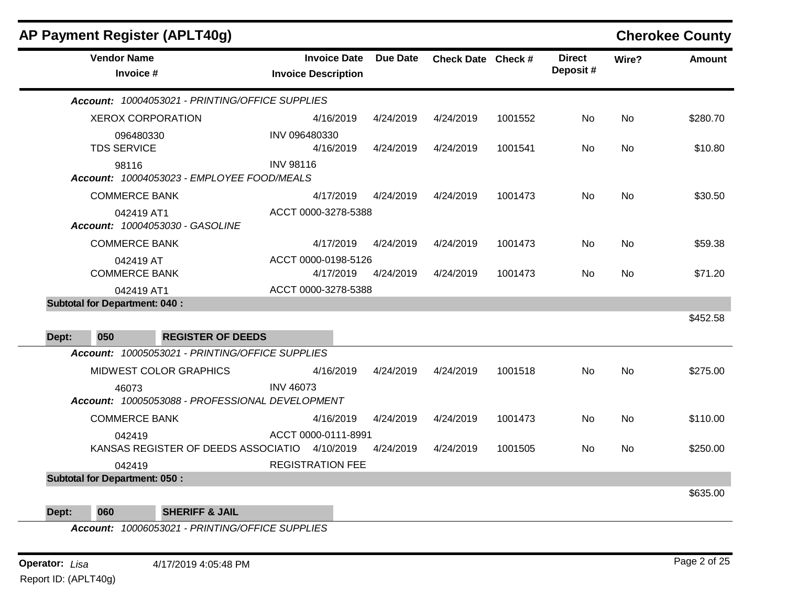|       |                                      | <b>AP Payment Register (APLT40g)</b>            |                                                   |                 |                    |         |                           |           | <b>Cherokee County</b> |
|-------|--------------------------------------|-------------------------------------------------|---------------------------------------------------|-----------------|--------------------|---------|---------------------------|-----------|------------------------|
|       | <b>Vendor Name</b><br>Invoice #      |                                                 | <b>Invoice Date</b><br><b>Invoice Description</b> | <b>Due Date</b> | Check Date Check # |         | <b>Direct</b><br>Deposit# | Wire?     | <b>Amount</b>          |
|       |                                      | Account: 10004053021 - PRINTING/OFFICE SUPPLIES |                                                   |                 |                    |         |                           |           |                        |
|       | <b>XEROX CORPORATION</b>             |                                                 | 4/16/2019                                         | 4/24/2019       | 4/24/2019          | 1001552 | No                        | <b>No</b> | \$280.70               |
|       | 096480330<br><b>TDS SERVICE</b>      |                                                 | INV 096480330<br>4/16/2019                        | 4/24/2019       | 4/24/2019          | 1001541 | No                        | <b>No</b> | \$10.80                |
|       | 98116                                | Account: 10004053023 - EMPLOYEE FOOD/MEALS      | <b>INV 98116</b>                                  |                 |                    |         |                           |           |                        |
|       | <b>COMMERCE BANK</b>                 |                                                 | 4/17/2019                                         | 4/24/2019       | 4/24/2019          | 1001473 | <b>No</b>                 | <b>No</b> | \$30.50                |
|       | 042419 AT1                           | Account: 10004053030 - GASOLINE                 | ACCT 0000-3278-5388                               |                 |                    |         |                           |           |                        |
|       | <b>COMMERCE BANK</b>                 |                                                 | 4/17/2019                                         | 4/24/2019       | 4/24/2019          | 1001473 | <b>No</b>                 | <b>No</b> | \$59.38                |
|       | 042419 AT                            |                                                 | ACCT 0000-0198-5126                               |                 |                    |         |                           |           |                        |
|       | <b>COMMERCE BANK</b>                 |                                                 | 4/17/2019                                         | 4/24/2019       | 4/24/2019          | 1001473 | No.                       | <b>No</b> | \$71.20                |
|       | 042419 AT1                           |                                                 | ACCT 0000-3278-5388                               |                 |                    |         |                           |           |                        |
|       | <b>Subtotal for Department: 040:</b> |                                                 |                                                   |                 |                    |         |                           |           |                        |
| Dept: | 050                                  | <b>REGISTER OF DEEDS</b>                        |                                                   |                 |                    |         |                           |           | \$452.58               |
|       |                                      | Account: 10005053021 - PRINTING/OFFICE SUPPLIES |                                                   |                 |                    |         |                           |           |                        |
|       |                                      | MIDWEST COLOR GRAPHICS                          | 4/16/2019                                         | 4/24/2019       | 4/24/2019          | 1001518 | <b>No</b>                 | <b>No</b> | \$275.00               |
|       | 46073                                | Account: 10005053088 - PROFESSIONAL DEVELOPMENT | <b>INV 46073</b>                                  |                 |                    |         |                           |           |                        |
|       | <b>COMMERCE BANK</b>                 |                                                 | 4/16/2019                                         | 4/24/2019       | 4/24/2019          | 1001473 | No                        | <b>No</b> | \$110.00               |
|       | 042419                               | KANSAS REGISTER OF DEEDS ASSOCIATIO 4/10/2019   | ACCT 0000-0111-8991                               | 4/24/2019       | 4/24/2019          | 1001505 | No                        | <b>No</b> | \$250.00               |
|       | 042419                               |                                                 | <b>REGISTRATION FEE</b>                           |                 |                    |         |                           |           |                        |
|       | <b>Subtotal for Department: 050:</b> |                                                 |                                                   |                 |                    |         |                           |           |                        |
| Dept: | 060                                  | <b>SHERIFF &amp; JAIL</b>                       |                                                   |                 |                    |         |                           |           | \$635.00               |

*Account: 10006053021 - PRINTING/OFFICE SUPPLIES*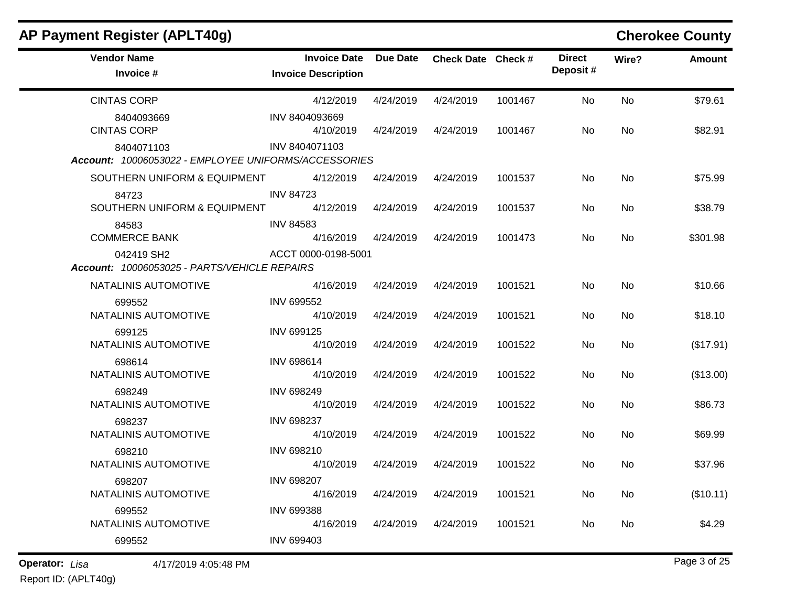| AP Payment Register (APLT40g)                                      |                                                   |                 |                    |         |                           |       | <b>Cherokee County</b> |
|--------------------------------------------------------------------|---------------------------------------------------|-----------------|--------------------|---------|---------------------------|-------|------------------------|
| <b>Vendor Name</b><br>Invoice #                                    | <b>Invoice Date</b><br><b>Invoice Description</b> | <b>Due Date</b> | Check Date Check # |         | <b>Direct</b><br>Deposit# | Wire? | <b>Amount</b>          |
| <b>CINTAS CORP</b>                                                 | 4/12/2019                                         | 4/24/2019       | 4/24/2019          | 1001467 | No                        | No    | \$79.61                |
| 8404093669<br><b>CINTAS CORP</b>                                   | INV 8404093669<br>4/10/2019                       | 4/24/2019       | 4/24/2019          | 1001467 | No                        | No    | \$82.91                |
| 8404071103<br>Account: 10006053022 - EMPLOYEE UNIFORMS/ACCESSORIES | INV 8404071103                                    |                 |                    |         |                           |       |                        |
| SOUTHERN UNIFORM & EQUIPMENT                                       | 4/12/2019                                         | 4/24/2019       | 4/24/2019          | 1001537 | No                        | No    | \$75.99                |
| 84723<br>SOUTHERN UNIFORM & EQUIPMENT                              | <b>INV 84723</b><br>4/12/2019                     | 4/24/2019       | 4/24/2019          | 1001537 | No                        | No    | \$38.79                |
| 84583<br><b>COMMERCE BANK</b>                                      | <b>INV 84583</b><br>4/16/2019                     | 4/24/2019       | 4/24/2019          | 1001473 | No.                       | No    | \$301.98               |
| 042419 SH2<br>Account: 10006053025 - PARTS/VEHICLE REPAIRS         | ACCT 0000-0198-5001                               |                 |                    |         |                           |       |                        |
| NATALINIS AUTOMOTIVE                                               | 4/16/2019                                         | 4/24/2019       | 4/24/2019          | 1001521 | No                        | No    | \$10.66                |
| 699552<br>NATALINIS AUTOMOTIVE                                     | <b>INV 699552</b><br>4/10/2019                    | 4/24/2019       | 4/24/2019          | 1001521 | No                        | No    | \$18.10                |
| 699125<br>NATALINIS AUTOMOTIVE                                     | <b>INV 699125</b><br>4/10/2019                    | 4/24/2019       | 4/24/2019          | 1001522 | No                        | No    | (\$17.91)              |
| 698614<br>NATALINIS AUTOMOTIVE                                     | <b>INV 698614</b><br>4/10/2019                    | 4/24/2019       | 4/24/2019          | 1001522 | No                        | No    | (\$13.00)              |
| 698249<br>NATALINIS AUTOMOTIVE                                     | <b>INV 698249</b><br>4/10/2019                    | 4/24/2019       | 4/24/2019          | 1001522 | No                        | No    | \$86.73                |
| 698237<br>NATALINIS AUTOMOTIVE                                     | <b>INV 698237</b><br>4/10/2019                    | 4/24/2019       | 4/24/2019          | 1001522 | No                        | No    | \$69.99                |
| 698210<br>NATALINIS AUTOMOTIVE                                     | INV 698210<br>4/10/2019                           | 4/24/2019       | 4/24/2019          | 1001522 | No.                       | No    | \$37.96                |
| 698207<br>NATALINIS AUTOMOTIVE                                     | <b>INV 698207</b><br>4/16/2019                    | 4/24/2019       | 4/24/2019          | 1001521 | No                        | No    | (\$10.11)              |
| 699552<br>NATALINIS AUTOMOTIVE                                     | <b>INV 699388</b><br>4/16/2019                    | 4/24/2019       | 4/24/2019          | 1001521 | No.                       | No    | \$4.29                 |
| 699552                                                             | <b>INV 699403</b>                                 |                 |                    |         |                           |       |                        |

**Operator:** Lisa 4/17/2019 4:05:48 PM Report ID: (APLT40g)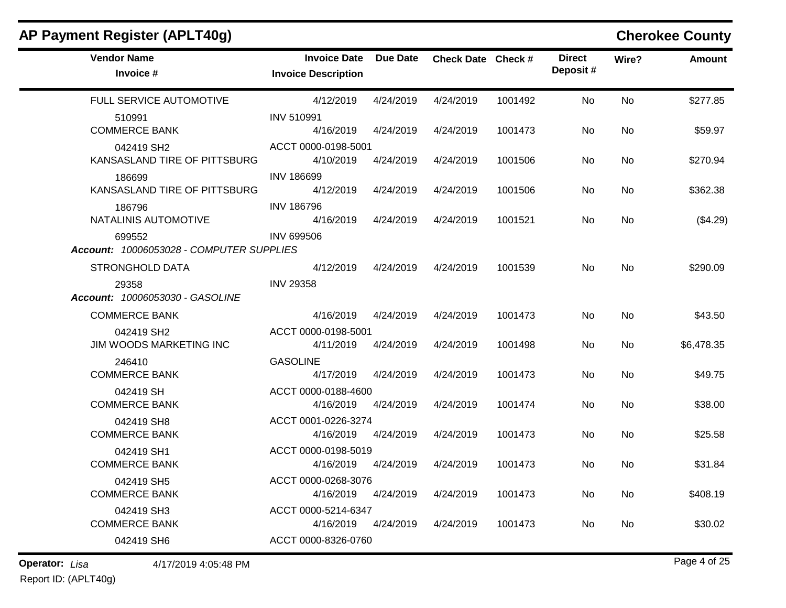| AP Payment Register (APLT40g)                      |                                                   |           |                    |         |                           |           | <b>Cherokee County</b> |
|----------------------------------------------------|---------------------------------------------------|-----------|--------------------|---------|---------------------------|-----------|------------------------|
| <b>Vendor Name</b><br>Invoice #                    | <b>Invoice Date</b><br><b>Invoice Description</b> | Due Date  | Check Date Check # |         | <b>Direct</b><br>Deposit# | Wire?     | <b>Amount</b>          |
| FULL SERVICE AUTOMOTIVE                            | 4/12/2019                                         | 4/24/2019 | 4/24/2019          | 1001492 | No.                       | <b>No</b> | \$277.85               |
| 510991<br><b>COMMERCE BANK</b>                     | <b>INV 510991</b><br>4/16/2019                    | 4/24/2019 | 4/24/2019          | 1001473 | No                        | <b>No</b> | \$59.97                |
| 042419 SH2<br>KANSASLAND TIRE OF PITTSBURG         | ACCT 0000-0198-5001<br>4/10/2019                  | 4/24/2019 | 4/24/2019          | 1001506 | No.                       | No        | \$270.94               |
| 186699<br>KANSASLAND TIRE OF PITTSBURG             | <b>INV 186699</b><br>4/12/2019                    | 4/24/2019 | 4/24/2019          | 1001506 | No.                       | No        | \$362.38               |
| 186796<br>NATALINIS AUTOMOTIVE                     | <b>INV 186796</b><br>4/16/2019                    | 4/24/2019 | 4/24/2019          | 1001521 | No.                       | No        | (\$4.29)               |
| 699552<br>Account: 10006053028 - COMPUTER SUPPLIES | <b>INV 699506</b>                                 |           |                    |         |                           |           |                        |
| <b>STRONGHOLD DATA</b>                             | 4/12/2019                                         | 4/24/2019 | 4/24/2019          | 1001539 | No.                       | <b>No</b> | \$290.09               |
| 29358<br>Account: 10006053030 - GASOLINE           | <b>INV 29358</b>                                  |           |                    |         |                           |           |                        |
| <b>COMMERCE BANK</b>                               | 4/16/2019                                         | 4/24/2019 | 4/24/2019          | 1001473 | No.                       | <b>No</b> | \$43.50                |
| 042419 SH2<br>JIM WOODS MARKETING INC              | ACCT 0000-0198-5001<br>4/11/2019                  | 4/24/2019 | 4/24/2019          | 1001498 | No                        | No        | \$6,478.35             |
| 246410<br><b>COMMERCE BANK</b>                     | <b>GASOLINE</b><br>4/17/2019                      | 4/24/2019 | 4/24/2019          | 1001473 | No                        | No        | \$49.75                |
| 042419 SH<br><b>COMMERCE BANK</b>                  | ACCT 0000-0188-4600<br>4/16/2019                  | 4/24/2019 | 4/24/2019          | 1001474 | No.                       | <b>No</b> | \$38.00                |
| 042419 SH8<br><b>COMMERCE BANK</b>                 | ACCT 0001-0226-3274<br>4/16/2019                  | 4/24/2019 | 4/24/2019          | 1001473 | No.                       | No        | \$25.58                |
| 042419 SH1<br><b>COMMERCE BANK</b>                 | ACCT 0000-0198-5019<br>4/16/2019                  | 4/24/2019 | 4/24/2019          | 1001473 | No.                       | No        | \$31.84                |
| 042419 SH5<br><b>COMMERCE BANK</b>                 | ACCT 0000-0268-3076<br>4/16/2019                  | 4/24/2019 | 4/24/2019          | 1001473 | No                        | No        | \$408.19               |
| 042419 SH3<br><b>COMMERCE BANK</b>                 | ACCT 0000-5214-6347<br>4/16/2019                  | 4/24/2019 | 4/24/2019          | 1001473 | No.                       | No        | \$30.02                |
| 042419 SH6                                         | ACCT 0000-8326-0760                               |           |                    |         |                           |           |                        |

**Operator:** Lisa 4/17/2019 4:05:48 PM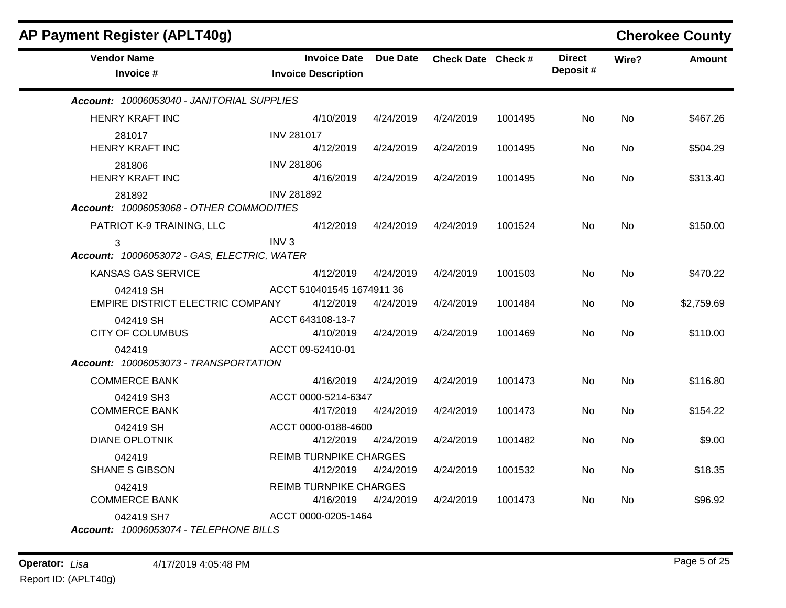| AP Payment Register (APLT40g)                        |                                                   |                 |                    |         |                           |           | <b>Cherokee County</b> |
|------------------------------------------------------|---------------------------------------------------|-----------------|--------------------|---------|---------------------------|-----------|------------------------|
| <b>Vendor Name</b><br>Invoice #                      | <b>Invoice Date</b><br><b>Invoice Description</b> | <b>Due Date</b> | Check Date Check # |         | <b>Direct</b><br>Deposit# | Wire?     | <b>Amount</b>          |
| Account: 10006053040 - JANITORIAL SUPPLIES           |                                                   |                 |                    |         |                           |           |                        |
| <b>HENRY KRAFT INC</b>                               | 4/10/2019                                         | 4/24/2019       | 4/24/2019          | 1001495 | No.                       | No.       | \$467.26               |
| 281017<br><b>HENRY KRAFT INC</b>                     | <b>INV 281017</b><br>4/12/2019                    | 4/24/2019       | 4/24/2019          | 1001495 | No                        | <b>No</b> | \$504.29               |
| 281806<br><b>HENRY KRAFT INC</b>                     | <b>INV 281806</b><br>4/16/2019                    | 4/24/2019       | 4/24/2019          | 1001495 | No                        | <b>No</b> | \$313.40               |
| 281892<br>Account: 10006053068 - OTHER COMMODITIES   | <b>INV 281892</b>                                 |                 |                    |         |                           |           |                        |
| PATRIOT K-9 TRAINING, LLC                            | 4/12/2019                                         | 4/24/2019       | 4/24/2019          | 1001524 | No.                       | <b>No</b> | \$150.00               |
| 3<br>Account: 10006053072 - GAS, ELECTRIC, WATER     | INV <sub>3</sub>                                  |                 |                    |         |                           |           |                        |
| <b>KANSAS GAS SERVICE</b>                            | 4/12/2019                                         | 4/24/2019       | 4/24/2019          | 1001503 | No.                       | <b>No</b> | \$470.22               |
| 042419 SH<br>EMPIRE DISTRICT ELECTRIC COMPANY        | ACCT 510401545 1674911 36<br>4/12/2019            | 4/24/2019       | 4/24/2019          | 1001484 | No.                       | <b>No</b> | \$2,759.69             |
| 042419 SH<br><b>CITY OF COLUMBUS</b>                 | ACCT 643108-13-7<br>4/10/2019                     | 4/24/2019       | 4/24/2019          | 1001469 | No.                       | No.       | \$110.00               |
| 042419<br>Account: 10006053073 - TRANSPORTATION      | ACCT 09-52410-01                                  |                 |                    |         |                           |           |                        |
| <b>COMMERCE BANK</b>                                 | 4/16/2019                                         | 4/24/2019       | 4/24/2019          | 1001473 | No                        | <b>No</b> | \$116.80               |
| 042419 SH3<br><b>COMMERCE BANK</b>                   | ACCT 0000-5214-6347<br>4/17/2019                  | 4/24/2019       | 4/24/2019          | 1001473 | No                        | No.       | \$154.22               |
| 042419 SH<br><b>DIANE OPLOTNIK</b>                   | ACCT 0000-0188-4600<br>4/12/2019                  | 4/24/2019       | 4/24/2019          | 1001482 | No.                       | <b>No</b> | \$9.00                 |
| 042419<br><b>SHANE S GIBSON</b>                      | <b>REIMB TURNPIKE CHARGES</b><br>4/12/2019        | 4/24/2019       | 4/24/2019          | 1001532 | No                        | <b>No</b> | \$18.35                |
| 042419<br><b>COMMERCE BANK</b>                       | <b>REIMB TURNPIKE CHARGES</b><br>4/16/2019        | 4/24/2019       | 4/24/2019          | 1001473 | No                        | No        | \$96.92                |
| 042419 SH7<br>Account: 10006053074 - TELEPHONE BILLS | ACCT 0000-0205-1464                               |                 |                    |         |                           |           |                        |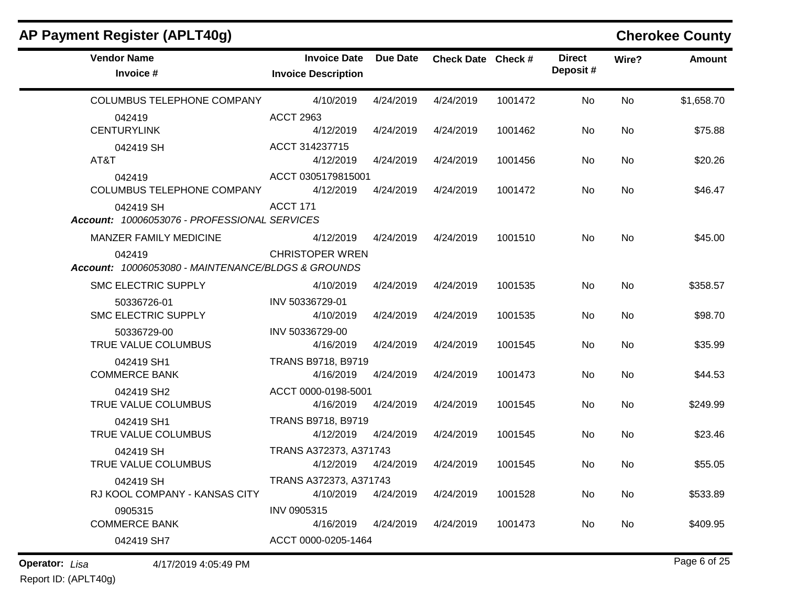| AP Payment Register (APLT40g)                                |                                                   |                 |                    |         |                           |           | <b>Cherokee County</b> |
|--------------------------------------------------------------|---------------------------------------------------|-----------------|--------------------|---------|---------------------------|-----------|------------------------|
| <b>Vendor Name</b><br>Invoice #                              | <b>Invoice Date</b><br><b>Invoice Description</b> | <b>Due Date</b> | Check Date Check # |         | <b>Direct</b><br>Deposit# | Wire?     | <b>Amount</b>          |
| COLUMBUS TELEPHONE COMPANY                                   | 4/10/2019                                         | 4/24/2019       | 4/24/2019          | 1001472 | No                        | No        | \$1,658.70             |
| 042419<br><b>CENTURYLINK</b>                                 | <b>ACCT 2963</b><br>4/12/2019                     | 4/24/2019       | 4/24/2019          | 1001462 | No                        | No        | \$75.88                |
| 042419 SH<br>AT&T                                            | ACCT 314237715<br>4/12/2019                       | 4/24/2019       | 4/24/2019          | 1001456 | No                        | No        | \$20.26                |
| 042419<br><b>COLUMBUS TELEPHONE COMPANY</b>                  | ACCT 0305179815001<br>4/12/2019                   | 4/24/2019       | 4/24/2019          | 1001472 | No                        | No        | \$46.47                |
| 042419 SH<br>Account: 10006053076 - PROFESSIONAL SERVICES    | ACCT 171                                          |                 |                    |         |                           |           |                        |
| MANZER FAMILY MEDICINE                                       | 4/12/2019                                         | 4/24/2019       | 4/24/2019          | 1001510 | No                        | No        | \$45.00                |
| 042419<br>Account: 10006053080 - MAINTENANCE/BLDGS & GROUNDS | <b>CHRISTOPER WREN</b>                            |                 |                    |         |                           |           |                        |
| <b>SMC ELECTRIC SUPPLY</b>                                   | 4/10/2019                                         | 4/24/2019       | 4/24/2019          | 1001535 | No                        | <b>No</b> | \$358.57               |
| 50336726-01<br><b>SMC ELECTRIC SUPPLY</b>                    | INV 50336729-01<br>4/10/2019                      | 4/24/2019       | 4/24/2019          | 1001535 | No                        | No        | \$98.70                |
| 50336729-00<br>TRUE VALUE COLUMBUS                           | INV 50336729-00<br>4/16/2019                      | 4/24/2019       | 4/24/2019          | 1001545 | No                        | <b>No</b> | \$35.99                |
| 042419 SH1<br><b>COMMERCE BANK</b>                           | TRANS B9718, B9719<br>4/16/2019                   | 4/24/2019       | 4/24/2019          | 1001473 | No                        | No        | \$44.53                |
| 042419 SH2<br>TRUE VALUE COLUMBUS                            | ACCT 0000-0198-5001<br>4/16/2019                  | 4/24/2019       | 4/24/2019          | 1001545 | No                        | No        | \$249.99               |
| 042419 SH1<br>TRUE VALUE COLUMBUS                            | TRANS B9718, B9719<br>4/12/2019                   | 4/24/2019       | 4/24/2019          | 1001545 | No                        | No        | \$23.46                |
| 042419 SH<br>TRUE VALUE COLUMBUS                             | TRANS A372373, A371743<br>4/12/2019               | 4/24/2019       | 4/24/2019          | 1001545 | <b>No</b>                 | No        | \$55.05                |
| 042419 SH<br>RJ KOOL COMPANY - KANSAS CITY                   | TRANS A372373, A371743<br>4/10/2019               | 4/24/2019       | 4/24/2019          | 1001528 | No                        | No        | \$533.89               |
| 0905315<br><b>COMMERCE BANK</b>                              | INV 0905315<br>4/16/2019                          | 4/24/2019       | 4/24/2019          | 1001473 | No.                       | No        | \$409.95               |
| 042419 SH7                                                   | ACCT 0000-0205-1464                               |                 |                    |         |                           |           |                        |

**Operator:** Lisa 4/17/2019 4:05:49 PM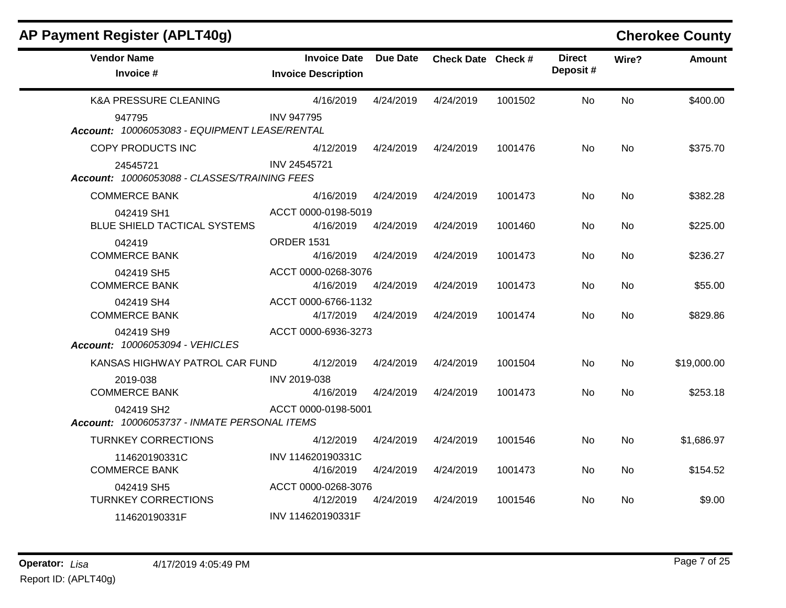| AP Payment Register (APLT40g)                              |                                                   |                 |                    |         |                           |                | <b>Cherokee County</b> |
|------------------------------------------------------------|---------------------------------------------------|-----------------|--------------------|---------|---------------------------|----------------|------------------------|
| <b>Vendor Name</b><br>Invoice #                            | <b>Invoice Date</b><br><b>Invoice Description</b> | <b>Due Date</b> | Check Date Check # |         | <b>Direct</b><br>Deposit# | Wire?          | <b>Amount</b>          |
| <b>K&amp;A PRESSURE CLEANING</b>                           | 4/16/2019                                         | 4/24/2019       | 4/24/2019          | 1001502 | <b>No</b>                 | <b>No</b>      | \$400.00               |
| 947795<br>Account: 10006053083 - EQUIPMENT LEASE/RENTAL    | <b>INV 947795</b>                                 |                 |                    |         |                           |                |                        |
| COPY PRODUCTS INC                                          | 4/12/2019                                         | 4/24/2019       | 4/24/2019          | 1001476 | <b>No</b>                 | <b>No</b>      | \$375.70               |
| 24545721<br>Account: 10006053088 - CLASSES/TRAINING FEES   | INV 24545721                                      |                 |                    |         |                           |                |                        |
| <b>COMMERCE BANK</b>                                       | 4/16/2019                                         | 4/24/2019       | 4/24/2019          | 1001473 | No                        | No.            | \$382.28               |
| 042419 SH1<br><b>BLUE SHIELD TACTICAL SYSTEMS</b>          | ACCT 0000-0198-5019<br>4/16/2019                  | 4/24/2019       | 4/24/2019          | 1001460 | No                        | No.            | \$225.00               |
| 042419<br><b>COMMERCE BANK</b>                             | <b>ORDER 1531</b><br>4/16/2019                    | 4/24/2019       | 4/24/2019          | 1001473 | No                        | <b>No</b>      | \$236.27               |
| 042419 SH5<br><b>COMMERCE BANK</b>                         | ACCT 0000-0268-3076<br>4/16/2019                  | 4/24/2019       | 4/24/2019          | 1001473 | No.                       | <b>No</b>      | \$55.00                |
| 042419 SH4<br><b>COMMERCE BANK</b>                         | ACCT 0000-6766-1132<br>4/17/2019                  | 4/24/2019       | 4/24/2019          | 1001474 | No.                       | <b>No</b>      | \$829.86               |
| 042419 SH9<br>Account: 10006053094 - VEHICLES              | ACCT 0000-6936-3273                               |                 |                    |         |                           |                |                        |
| KANSAS HIGHWAY PATROL CAR FUND                             | 4/12/2019                                         | 4/24/2019       | 4/24/2019          | 1001504 | No                        | N <sub>0</sub> | \$19,000.00            |
| 2019-038<br><b>COMMERCE BANK</b>                           | INV 2019-038<br>4/16/2019                         | 4/24/2019       | 4/24/2019          | 1001473 | No.                       | No.            | \$253.18               |
| 042419 SH2<br>Account: 10006053737 - INMATE PERSONAL ITEMS | ACCT 0000-0198-5001                               |                 |                    |         |                           |                |                        |
| <b>TURNKEY CORRECTIONS</b>                                 | 4/12/2019                                         | 4/24/2019       | 4/24/2019          | 1001546 | <b>No</b>                 | <b>No</b>      | \$1,686.97             |
| 114620190331C<br><b>COMMERCE BANK</b>                      | INV 114620190331C<br>4/16/2019                    | 4/24/2019       | 4/24/2019          | 1001473 | No.                       | No.            | \$154.52               |
| 042419 SH5<br><b>TURNKEY CORRECTIONS</b>                   | ACCT 0000-0268-3076<br>4/12/2019                  | 4/24/2019       | 4/24/2019          | 1001546 | No.                       | No.            | \$9.00                 |
| 114620190331F                                              | INV 114620190331F                                 |                 |                    |         |                           |                |                        |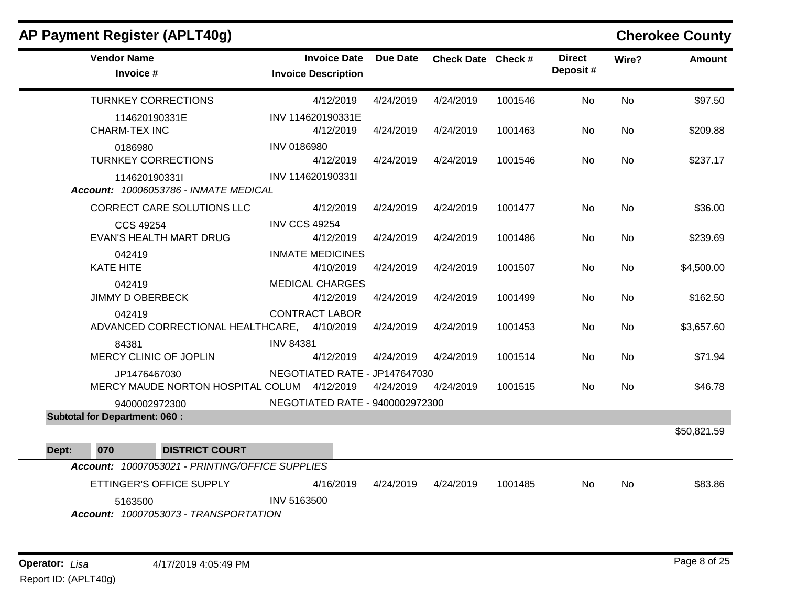|       | AP Payment Register (APLT40g)                               |                  |                                                   |           |                    |         |                           |           | <b>Cherokee County</b> |
|-------|-------------------------------------------------------------|------------------|---------------------------------------------------|-----------|--------------------|---------|---------------------------|-----------|------------------------|
|       | <b>Vendor Name</b><br>Invoice #                             |                  | <b>Invoice Date</b><br><b>Invoice Description</b> | Due Date  | Check Date Check # |         | <b>Direct</b><br>Deposit# | Wire?     | <b>Amount</b>          |
|       | <b>TURNKEY CORRECTIONS</b>                                  |                  | 4/12/2019                                         | 4/24/2019 | 4/24/2019          | 1001546 | <b>No</b>                 | <b>No</b> | \$97.50                |
|       | 114620190331E<br><b>CHARM-TEX INC</b>                       |                  | INV 114620190331E<br>4/12/2019                    | 4/24/2019 | 4/24/2019          | 1001463 | No.                       | <b>No</b> | \$209.88               |
|       | 0186980<br><b>TURNKEY CORRECTIONS</b>                       | INV 0186980      | 4/12/2019                                         | 4/24/2019 | 4/24/2019          | 1001546 | <b>No</b>                 | <b>No</b> | \$237.17               |
|       | 114620190331l<br>Account: 10006053786 - INMATE MEDICAL      |                  | INV 114620190331I                                 |           |                    |         |                           |           |                        |
|       | <b>CORRECT CARE SOLUTIONS LLC</b>                           |                  | 4/12/2019                                         | 4/24/2019 | 4/24/2019          | 1001477 | <b>No</b>                 | <b>No</b> | \$36.00                |
|       | CCS 49254<br><b>EVAN'S HEALTH MART DRUG</b>                 |                  | <b>INV CCS 49254</b><br>4/12/2019                 | 4/24/2019 | 4/24/2019          | 1001486 | No.                       | <b>No</b> | \$239.69               |
|       | 042419<br><b>KATE HITE</b>                                  |                  | <b>INMATE MEDICINES</b><br>4/10/2019              | 4/24/2019 | 4/24/2019          | 1001507 | No                        | No        | \$4,500.00             |
|       | 042419<br><b>JIMMY D OBERBECK</b>                           |                  | <b>MEDICAL CHARGES</b><br>4/12/2019               | 4/24/2019 | 4/24/2019          | 1001499 | No                        | <b>No</b> | \$162.50               |
|       | 042419<br>ADVANCED CORRECTIONAL HEALTHCARE, 4/10/2019       |                  | <b>CONTRACT LABOR</b>                             | 4/24/2019 | 4/24/2019          | 1001453 | No.                       | No        | \$3,657.60             |
|       | 84381<br>MERCY CLINIC OF JOPLIN                             | <b>INV 84381</b> | 4/12/2019                                         | 4/24/2019 | 4/24/2019          | 1001514 | No                        | No        | \$71.94                |
|       | JP1476467030<br>MERCY MAUDE NORTON HOSPITAL COLUM 4/12/2019 |                  | NEGOTIATED RATE - JP147647030                     | 4/24/2019 | 4/24/2019          | 1001515 | <b>No</b>                 | <b>No</b> | \$46.78                |
|       | 9400002972300                                               |                  | NEGOTIATED RATE - 9400002972300                   |           |                    |         |                           |           |                        |
|       | <b>Subtotal for Department: 060:</b>                        |                  |                                                   |           |                    |         |                           |           |                        |
|       |                                                             |                  |                                                   |           |                    |         |                           |           | \$50,821.59            |
| Dept: | 070<br><b>DISTRICT COURT</b>                                |                  |                                                   |           |                    |         |                           |           |                        |
|       | Account: 10007053021 - PRINTING/OFFICE SUPPLIES             |                  |                                                   |           |                    |         |                           |           |                        |
|       | ETTINGER'S OFFICE SUPPLY                                    |                  | 4/16/2019                                         | 4/24/2019 | 4/24/2019          | 1001485 | No.                       | <b>No</b> | \$83.86                |
|       | 5163500<br>Account: 10007053073 - TRANSPORTATION            | INV 5163500      |                                                   |           |                    |         |                           |           |                        |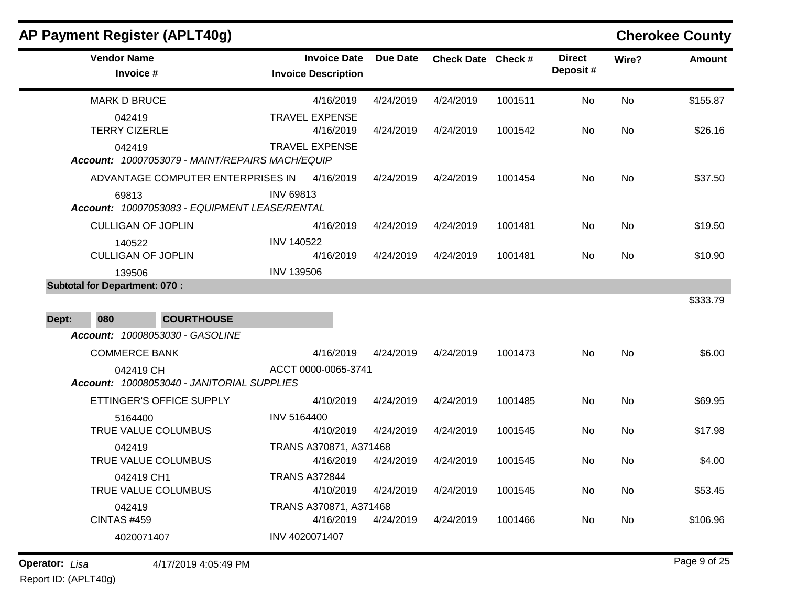| AP Payment Register (APLT40g)                             |                                                   |                 |                    |         |                           |           | <b>Cherokee County</b> |
|-----------------------------------------------------------|---------------------------------------------------|-----------------|--------------------|---------|---------------------------|-----------|------------------------|
| <b>Vendor Name</b><br>Invoice #                           | <b>Invoice Date</b><br><b>Invoice Description</b> | <b>Due Date</b> | Check Date Check # |         | <b>Direct</b><br>Deposit# | Wire?     | Amount                 |
| <b>MARK D BRUCE</b>                                       | 4/16/2019                                         | 4/24/2019       | 4/24/2019          | 1001511 | No                        | No        | \$155.87               |
| 042419<br><b>TERRY CIZERLE</b>                            | <b>TRAVEL EXPENSE</b><br>4/16/2019                | 4/24/2019       | 4/24/2019          | 1001542 | No                        | No        | \$26.16                |
| 042419<br>Account: 10007053079 - MAINT/REPAIRS MACH/EQUIP | <b>TRAVEL EXPENSE</b>                             |                 |                    |         |                           |           |                        |
| ADVANTAGE COMPUTER ENTERPRISES IN                         | 4/16/2019                                         | 4/24/2019       | 4/24/2019          | 1001454 | No                        | No        | \$37.50                |
| 69813<br>Account: 10007053083 - EQUIPMENT LEASE/RENTAL    | <b>INV 69813</b>                                  |                 |                    |         |                           |           |                        |
| <b>CULLIGAN OF JOPLIN</b>                                 | 4/16/2019                                         | 4/24/2019       | 4/24/2019          | 1001481 | No                        | No        | \$19.50                |
| 140522<br><b>CULLIGAN OF JOPLIN</b>                       | <b>INV 140522</b><br>4/16/2019                    | 4/24/2019       | 4/24/2019          | 1001481 | No                        | No        | \$10.90                |
| 139506                                                    | <b>INV 139506</b>                                 |                 |                    |         |                           |           |                        |
| <b>Subtotal for Department: 070:</b>                      |                                                   |                 |                    |         |                           |           | \$333.79               |
| 080<br><b>COURTHOUSE</b><br>Dept:                         |                                                   |                 |                    |         |                           |           |                        |
| Account: 10008053030 - GASOLINE                           |                                                   |                 |                    |         |                           |           |                        |
| <b>COMMERCE BANK</b>                                      | 4/16/2019                                         | 4/24/2019       | 4/24/2019          | 1001473 | No                        | No        | \$6.00                 |
| 042419 CH<br>Account: 10008053040 - JANITORIAL SUPPLIES   | ACCT 0000-0065-3741                               |                 |                    |         |                           |           |                        |
| ETTINGER'S OFFICE SUPPLY                                  | 4/10/2019                                         | 4/24/2019       | 4/24/2019          | 1001485 | No                        | <b>No</b> | \$69.95                |
| 5164400<br>TRUE VALUE COLUMBUS                            | INV 5164400<br>4/10/2019                          | 4/24/2019       | 4/24/2019          | 1001545 | No                        | No        | \$17.98                |
| 042419                                                    | TRANS A370871, A371468                            |                 |                    |         |                           |           |                        |
| TRUE VALUE COLUMBUS                                       | 4/16/2019                                         | 4/24/2019       | 4/24/2019          | 1001545 | No                        | No        | \$4.00                 |
| 042419 CH1<br>TRUE VALUE COLUMBUS                         | <b>TRANS A372844</b><br>4/10/2019                 | 4/24/2019       | 4/24/2019          | 1001545 | No                        | No        | \$53.45                |
| 042419                                                    | TRANS A370871, A371468                            |                 |                    |         |                           |           |                        |
| <b>CINTAS #459</b>                                        | 4/16/2019                                         | 4/24/2019       | 4/24/2019          | 1001466 | No.                       | No        | \$106.96               |
| 4020071407                                                | INV 4020071407                                    |                 |                    |         |                           |           |                        |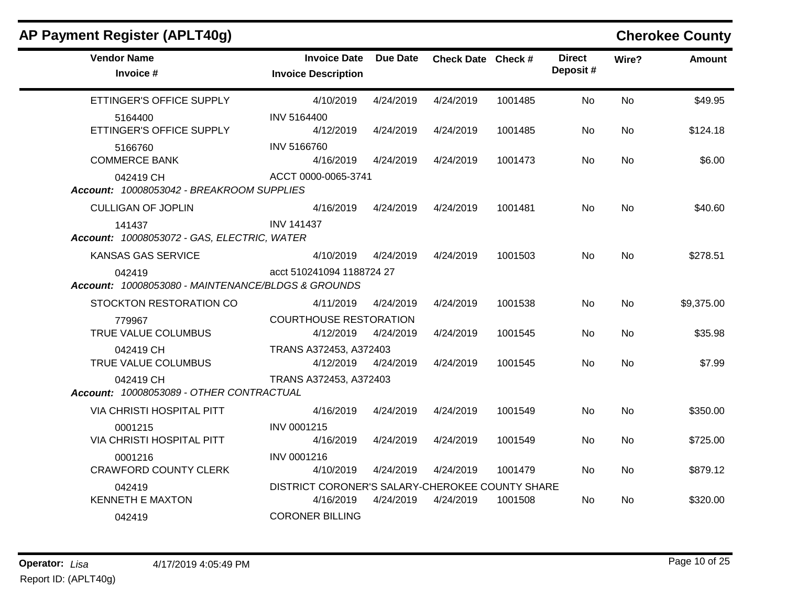| AP Payment Register (APLT40g)                                |                                                              |                 |                    |         |                           |           | <b>Cherokee County</b> |
|--------------------------------------------------------------|--------------------------------------------------------------|-----------------|--------------------|---------|---------------------------|-----------|------------------------|
| <b>Vendor Name</b><br>Invoice #                              | <b>Invoice Date</b><br><b>Invoice Description</b>            | <b>Due Date</b> | Check Date Check # |         | <b>Direct</b><br>Deposit# | Wire?     | <b>Amount</b>          |
| ETTINGER'S OFFICE SUPPLY                                     | 4/10/2019                                                    | 4/24/2019       | 4/24/2019          | 1001485 | <b>No</b>                 | No        | \$49.95                |
| 5164400<br>ETTINGER'S OFFICE SUPPLY                          | INV 5164400<br>4/12/2019                                     | 4/24/2019       | 4/24/2019          | 1001485 | No.                       | <b>No</b> | \$124.18               |
| 5166760<br><b>COMMERCE BANK</b>                              | <b>INV 5166760</b><br>4/16/2019                              | 4/24/2019       | 4/24/2019          | 1001473 | No.                       | <b>No</b> | \$6.00                 |
| 042419 CH<br>Account: 10008053042 - BREAKROOM SUPPLIES       | ACCT 0000-0065-3741                                          |                 |                    |         |                           |           |                        |
| <b>CULLIGAN OF JOPLIN</b>                                    | 4/16/2019                                                    | 4/24/2019       | 4/24/2019          | 1001481 | No.                       | No        | \$40.60                |
| 141437<br>Account: 10008053072 - GAS, ELECTRIC, WATER        | <b>INV 141437</b>                                            |                 |                    |         |                           |           |                        |
| <b>KANSAS GAS SERVICE</b>                                    | 4/10/2019                                                    | 4/24/2019       | 4/24/2019          | 1001503 | <b>No</b>                 | No        | \$278.51               |
| 042419<br>Account: 10008053080 - MAINTENANCE/BLDGS & GROUNDS | acct 510241094 1188724 27                                    |                 |                    |         |                           |           |                        |
| STOCKTON RESTORATION CO                                      | 4/11/2019                                                    | 4/24/2019       | 4/24/2019          | 1001538 | No.                       | <b>No</b> | \$9,375.00             |
| 779967<br>TRUE VALUE COLUMBUS                                | <b>COURTHOUSE RESTORATION</b><br>4/12/2019                   | 4/24/2019       | 4/24/2019          | 1001545 | No.                       | <b>No</b> | \$35.98                |
| 042419 CH<br>TRUE VALUE COLUMBUS                             | TRANS A372453, A372403<br>4/12/2019                          | 4/24/2019       | 4/24/2019          | 1001545 | No.                       | <b>No</b> | \$7.99                 |
| 042419 CH<br>Account: 10008053089 - OTHER CONTRACTUAL        | TRANS A372453, A372403                                       |                 |                    |         |                           |           |                        |
| VIA CHRISTI HOSPITAL PITT                                    | 4/16/2019                                                    | 4/24/2019       | 4/24/2019          | 1001549 | No                        | <b>No</b> | \$350.00               |
| 0001215<br>VIA CHRISTI HOSPITAL PITT                         | INV 0001215<br>4/16/2019                                     | 4/24/2019       | 4/24/2019          | 1001549 | No                        | No        | \$725.00               |
| 0001216<br><b>CRAWFORD COUNTY CLERK</b>                      | INV 0001216<br>4/10/2019                                     | 4/24/2019       | 4/24/2019          | 1001479 | No.                       | <b>No</b> | \$879.12               |
| 042419<br><b>KENNETH E MAXTON</b>                            | DISTRICT CORONER'S SALARY-CHEROKEE COUNTY SHARE<br>4/16/2019 | 4/24/2019       | 4/24/2019          | 1001508 | No                        | No        | \$320.00               |
| 042419                                                       | <b>CORONER BILLING</b>                                       |                 |                    |         |                           |           |                        |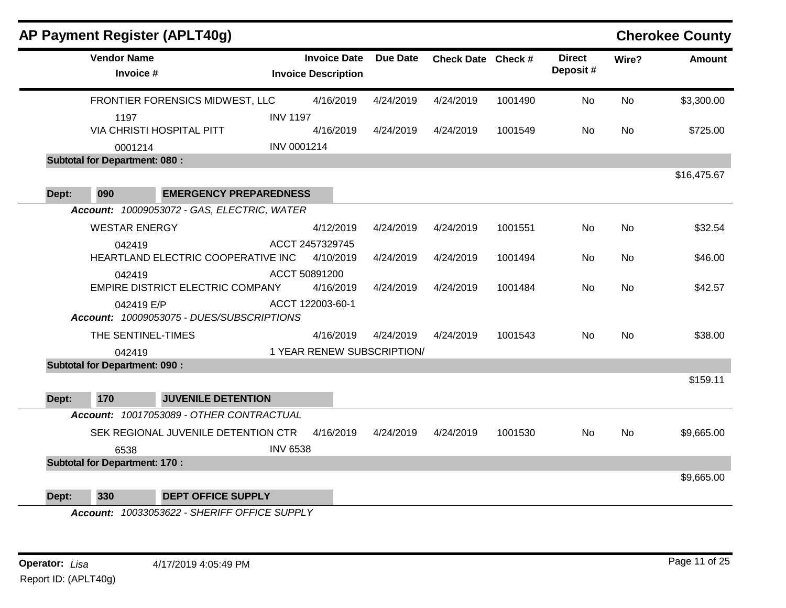|       | AP Payment Register (APLT40g)                 |                               |                                                   |           |                    |         |                           |           | <b>Cherokee County</b> |
|-------|-----------------------------------------------|-------------------------------|---------------------------------------------------|-----------|--------------------|---------|---------------------------|-----------|------------------------|
|       | <b>Vendor Name</b><br>Invoice #               |                               | <b>Invoice Date</b><br><b>Invoice Description</b> | Due Date  | Check Date Check # |         | <b>Direct</b><br>Deposit# | Wire?     | <b>Amount</b>          |
|       | FRONTIER FORENSICS MIDWEST, LLC               |                               | 4/16/2019                                         | 4/24/2019 | 4/24/2019          | 1001490 | No                        | <b>No</b> | \$3,300.00             |
|       | 1197                                          | <b>INV 1197</b>               |                                                   |           |                    |         |                           |           |                        |
|       | VIA CHRISTI HOSPITAL PITT                     |                               | 4/16/2019                                         | 4/24/2019 | 4/24/2019          | 1001549 | No.                       | No.       | \$725.00               |
|       | 0001214                                       | INV 0001214                   |                                                   |           |                    |         |                           |           |                        |
|       | <b>Subtotal for Department: 080:</b>          |                               |                                                   |           |                    |         |                           |           |                        |
|       |                                               |                               |                                                   |           |                    |         |                           |           | \$16,475.67            |
| Dept: | 090                                           | <b>EMERGENCY PREPAREDNESS</b> |                                                   |           |                    |         |                           |           |                        |
|       | Account: 10009053072 - GAS, ELECTRIC, WATER   |                               |                                                   |           |                    |         |                           |           |                        |
|       | <b>WESTAR ENERGY</b>                          |                               | 4/12/2019                                         | 4/24/2019 | 4/24/2019          | 1001551 | No                        | <b>No</b> | \$32.54                |
|       | 042419                                        |                               | ACCT 2457329745                                   |           |                    |         |                           |           |                        |
|       | HEARTLAND ELECTRIC COOPERATIVE INC            |                               | 4/10/2019                                         | 4/24/2019 | 4/24/2019          | 1001494 | No                        | <b>No</b> | \$46.00                |
|       | 042419                                        |                               | ACCT 50891200                                     |           |                    |         |                           |           |                        |
|       | EMPIRE DISTRICT ELECTRIC COMPANY              |                               | 4/16/2019                                         | 4/24/2019 | 4/24/2019          | 1001484 | No                        | No        | \$42.57                |
|       | 042419 E/P                                    |                               | ACCT 122003-60-1                                  |           |                    |         |                           |           |                        |
|       | Account: 10009053075 - DUES/SUBSCRIPTIONS     |                               |                                                   |           |                    |         |                           |           |                        |
|       | THE SENTINEL-TIMES                            |                               | 4/16/2019                                         | 4/24/2019 | 4/24/2019          | 1001543 | <b>No</b>                 | <b>No</b> | \$38.00                |
|       | 042419                                        |                               | 1 YEAR RENEW SUBSCRIPTION/                        |           |                    |         |                           |           |                        |
|       | <b>Subtotal for Department: 090:</b>          |                               |                                                   |           |                    |         |                           |           |                        |
|       |                                               |                               |                                                   |           |                    |         |                           |           | \$159.11               |
| Dept: | 170<br><b>JUVENILE DETENTION</b>              |                               |                                                   |           |                    |         |                           |           |                        |
|       | Account: 10017053089 - OTHER CONTRACTUAL      |                               |                                                   |           |                    |         |                           |           |                        |
|       | SEK REGIONAL JUVENILE DETENTION CTR           |                               | 4/16/2019                                         | 4/24/2019 | 4/24/2019          | 1001530 | No                        | <b>No</b> | \$9,665.00             |
|       | 6538                                          | <b>INV 6538</b>               |                                                   |           |                    |         |                           |           |                        |
|       | <b>Subtotal for Department: 170:</b>          |                               |                                                   |           |                    |         |                           |           |                        |
|       |                                               |                               |                                                   |           |                    |         |                           |           | \$9,665.00             |
| Dept: | 330<br><b>DEPT OFFICE SUPPLY</b>              |                               |                                                   |           |                    |         |                           |           |                        |
|       | Account: 10033053622 - SHERIEE OFFICE SLIPPLY |                               |                                                   |           |                    |         |                           |           |                        |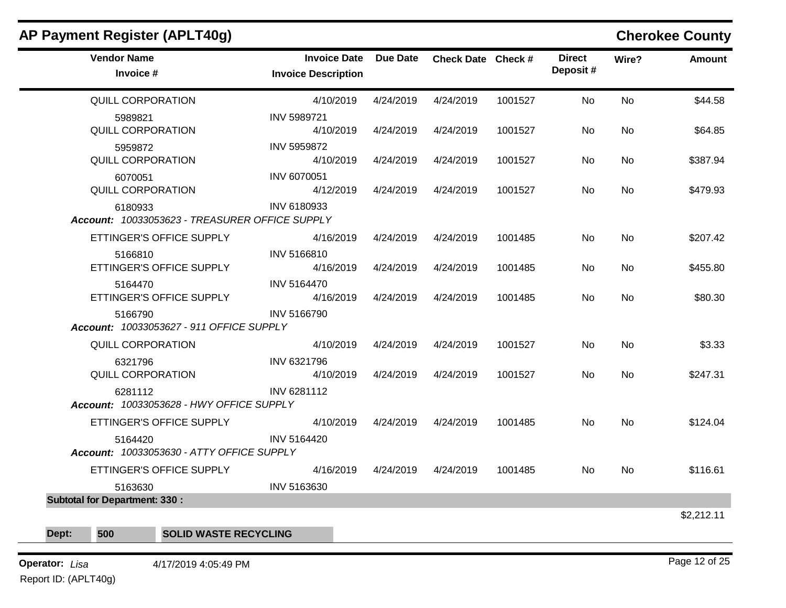| <b>AP Payment Register (APLT40g)</b>                      |                                                   |                 |                    |         |                            |           | <b>Cherokee County</b> |
|-----------------------------------------------------------|---------------------------------------------------|-----------------|--------------------|---------|----------------------------|-----------|------------------------|
| <b>Vendor Name</b><br>Invoice #                           | <b>Invoice Date</b><br><b>Invoice Description</b> | <b>Due Date</b> | Check Date Check # |         | <b>Direct</b><br>Deposit # | Wire?     | <b>Amount</b>          |
| QUILL CORPORATION                                         | 4/10/2019                                         | 4/24/2019       | 4/24/2019          | 1001527 | No                         | No        | \$44.58                |
| 5989821<br>QUILL CORPORATION                              | <b>INV 5989721</b><br>4/10/2019                   | 4/24/2019       | 4/24/2019          | 1001527 | No                         | No        | \$64.85                |
| 5959872<br>QUILL CORPORATION                              | <b>INV 5959872</b><br>4/10/2019                   | 4/24/2019       | 4/24/2019          | 1001527 | No.                        | No        | \$387.94               |
| 6070051<br>QUILL CORPORATION                              | INV 6070051<br>4/12/2019                          | 4/24/2019       | 4/24/2019          | 1001527 | No.                        | No        | \$479.93               |
| 6180933<br>Account: 10033053623 - TREASURER OFFICE SUPPLY | INV 6180933                                       |                 |                    |         |                            |           |                        |
| ETTINGER'S OFFICE SUPPLY                                  | 4/16/2019                                         | 4/24/2019       | 4/24/2019          | 1001485 | No.                        | <b>No</b> | \$207.42               |
| 5166810<br>ETTINGER'S OFFICE SUPPLY                       | INV 5166810<br>4/16/2019                          | 4/24/2019       | 4/24/2019          | 1001485 | No.                        | No        | \$455.80               |
| 5164470<br>ETTINGER'S OFFICE SUPPLY                       | <b>INV 5164470</b><br>4/16/2019                   | 4/24/2019       | 4/24/2019          | 1001485 | No.                        | <b>No</b> | \$80.30                |
| 5166790<br>Account: 10033053627 - 911 OFFICE SUPPLY       | INV 5166790                                       |                 |                    |         |                            |           |                        |
| <b>QUILL CORPORATION</b>                                  | 4/10/2019                                         | 4/24/2019       | 4/24/2019          | 1001527 | No.                        | No        | \$3.33                 |
| 6321796<br><b>QUILL CORPORATION</b>                       | INV 6321796<br>4/10/2019                          | 4/24/2019       | 4/24/2019          | 1001527 | <b>No</b>                  | <b>No</b> | \$247.31               |
| 6281112<br>Account: 10033053628 - HWY OFFICE SUPPLY       | INV 6281112                                       |                 |                    |         |                            |           |                        |
| ETTINGER'S OFFICE SUPPLY                                  | 4/10/2019                                         | 4/24/2019       | 4/24/2019          | 1001485 | No.                        | <b>No</b> | \$124.04               |
| 5164420<br>Account: 10033053630 - ATTY OFFICE SUPPLY      | <b>INV 5164420</b>                                |                 |                    |         |                            |           |                        |
| ETTINGER'S OFFICE SUPPLY                                  | 4/16/2019                                         | 4/24/2019       | 4/24/2019          | 1001485 | No.                        | <b>No</b> | \$116.61               |
| 5163630                                                   | INV 5163630                                       |                 |                    |         |                            |           |                        |
| <b>Subtotal for Department: 330:</b>                      |                                                   |                 |                    |         |                            |           |                        |
|                                                           |                                                   |                 |                    |         |                            |           | \$2,212.11             |
| 500<br><b>SOLID WASTE RECYCLING</b><br>Dept:              |                                                   |                 |                    |         |                            |           |                        |

# **Operator:** Lisa 4/17/2019 4:05:49 PM

Report ID: (APLT40g)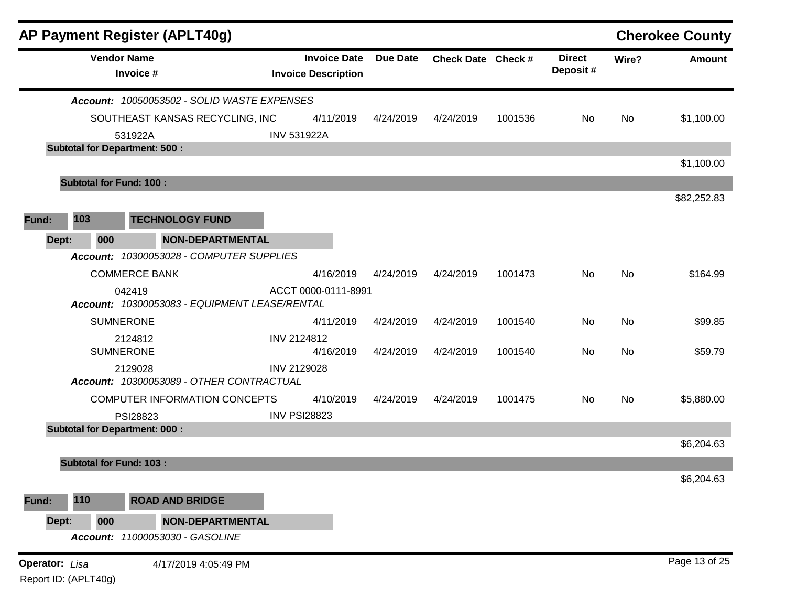|                                               | AP Payment Register (APLT40g)                           |                                                   |                 |                    |         |                           |           | <b>Cherokee County</b> |
|-----------------------------------------------|---------------------------------------------------------|---------------------------------------------------|-----------------|--------------------|---------|---------------------------|-----------|------------------------|
|                                               | <b>Vendor Name</b><br>Invoice #                         | <b>Invoice Date</b><br><b>Invoice Description</b> | <b>Due Date</b> | Check Date Check # |         | <b>Direct</b><br>Deposit# | Wire?     | <b>Amount</b>          |
|                                               | Account: 10050053502 - SOLID WASTE EXPENSES             |                                                   |                 |                    |         |                           |           |                        |
|                                               | SOUTHEAST KANSAS RECYCLING, INC                         | 4/11/2019                                         | 4/24/2019       | 4/24/2019          | 1001536 | No.                       | No        | \$1,100.00             |
|                                               | 531922A                                                 | <b>INV 531922A</b>                                |                 |                    |         |                           |           |                        |
|                                               | <b>Subtotal for Department: 500:</b>                    |                                                   |                 |                    |         |                           |           |                        |
|                                               | <b>Subtotal for Fund: 100:</b>                          |                                                   |                 |                    |         |                           |           | \$1,100.00             |
|                                               |                                                         |                                                   |                 |                    |         |                           |           | \$82,252.83            |
| 103<br>Fund:                                  | <b>TECHNOLOGY FUND</b>                                  |                                                   |                 |                    |         |                           |           |                        |
| Dept:                                         | NON-DEPARTMENTAL<br>000                                 |                                                   |                 |                    |         |                           |           |                        |
|                                               | Account: 10300053028 - COMPUTER SUPPLIES                |                                                   |                 |                    |         |                           |           |                        |
|                                               | <b>COMMERCE BANK</b>                                    | 4/16/2019                                         | 4/24/2019       | 4/24/2019          | 1001473 | No                        | <b>No</b> | \$164.99               |
|                                               | 042419<br>Account: 10300053083 - EQUIPMENT LEASE/RENTAL | ACCT 0000-0111-8991                               |                 |                    |         |                           |           |                        |
|                                               | <b>SUMNERONE</b>                                        | 4/11/2019                                         | 4/24/2019       | 4/24/2019          | 1001540 | No                        | No        | \$99.85                |
|                                               | 2124812                                                 | INV 2124812                                       |                 |                    |         |                           |           |                        |
|                                               | <b>SUMNERONE</b>                                        | 4/16/2019                                         | 4/24/2019       | 4/24/2019          | 1001540 | No                        | No        | \$59.79                |
|                                               | 2129028<br>Account: 10300053089 - OTHER CONTRACTUAL     | INV 2129028                                       |                 |                    |         |                           |           |                        |
|                                               | COMPUTER INFORMATION CONCEPTS                           | 4/10/2019                                         | 4/24/2019       | 4/24/2019          | 1001475 | No                        | No        | \$5,880.00             |
|                                               | PSI28823                                                | <b>INV PSI28823</b>                               |                 |                    |         |                           |           |                        |
|                                               | <b>Subtotal for Department: 000:</b>                    |                                                   |                 |                    |         |                           |           |                        |
|                                               | <b>Subtotal for Fund: 103:</b>                          |                                                   |                 |                    |         |                           |           | \$6,204.63             |
|                                               |                                                         |                                                   |                 |                    |         |                           |           | \$6,204.63             |
| 110                                           | <b>ROAD AND BRIDGE</b>                                  |                                                   |                 |                    |         |                           |           |                        |
| Fund:                                         | <b>NON-DEPARTMENTAL</b>                                 |                                                   |                 |                    |         |                           |           |                        |
| Dept:                                         | 000<br>Account: 11000053030 - GASOLINE                  |                                                   |                 |                    |         |                           |           |                        |
|                                               |                                                         |                                                   |                 |                    |         |                           |           | Page 13 of 25          |
| <b>Operator:</b> Lisa<br>Report ID: (APLT40g) | 4/17/2019 4:05:49 PM                                    |                                                   |                 |                    |         |                           |           |                        |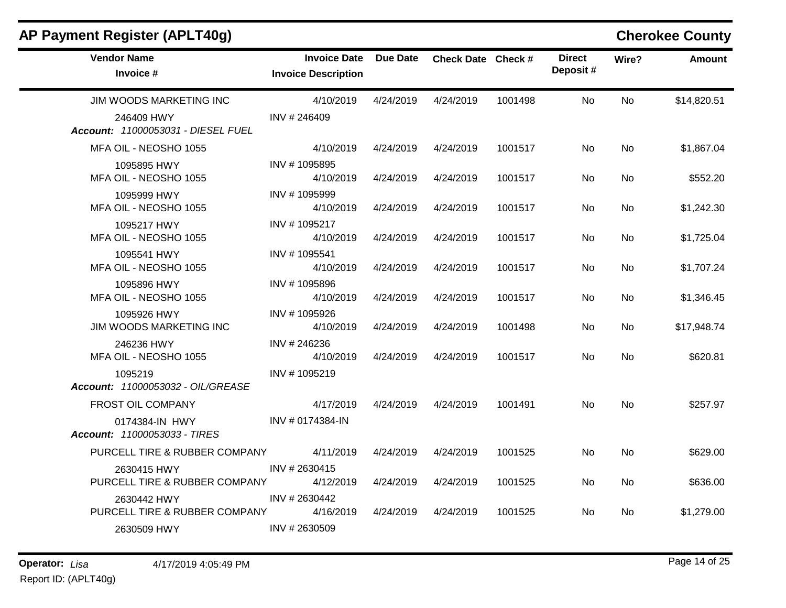| <b>Vendor Name</b>                               | <b>Invoice Date</b>        | <b>Due Date</b> | Check Date Check # |         | <b>Direct</b> | Wire?     | <b>Amount</b> |
|--------------------------------------------------|----------------------------|-----------------|--------------------|---------|---------------|-----------|---------------|
| Invoice #                                        | <b>Invoice Description</b> |                 |                    |         | Deposit#      |           |               |
| JIM WOODS MARKETING INC                          | 4/10/2019                  | 4/24/2019       | 4/24/2019          | 1001498 | <b>No</b>     | <b>No</b> | \$14,820.51   |
| 246409 HWY<br>Account: 11000053031 - DIESEL FUEL | INV #246409                |                 |                    |         |               |           |               |
| MFA OIL - NEOSHO 1055                            | 4/10/2019                  | 4/24/2019       | 4/24/2019          | 1001517 | No.           | <b>No</b> | \$1,867.04    |
| 1095895 HWY<br>MFA OIL - NEOSHO 1055             | INV #1095895<br>4/10/2019  | 4/24/2019       | 4/24/2019          | 1001517 | No.           | <b>No</b> | \$552.20      |
| 1095999 HWY<br>MFA OIL - NEOSHO 1055             | INV #1095999<br>4/10/2019  | 4/24/2019       | 4/24/2019          | 1001517 | No.           | <b>No</b> | \$1,242.30    |
| 1095217 HWY<br>MFA OIL - NEOSHO 1055             | INV #1095217<br>4/10/2019  | 4/24/2019       | 4/24/2019          | 1001517 | No.           | <b>No</b> | \$1,725.04    |
| 1095541 HWY<br>MFA OIL - NEOSHO 1055             | INV #1095541<br>4/10/2019  | 4/24/2019       | 4/24/2019          | 1001517 | <b>No</b>     | <b>No</b> | \$1,707.24    |
| 1095896 HWY<br>MFA OIL - NEOSHO 1055             | INV #1095896<br>4/10/2019  | 4/24/2019       | 4/24/2019          | 1001517 | No.           | <b>No</b> | \$1,346.45    |
| 1095926 HWY<br>JIM WOODS MARKETING INC           | INV #1095926<br>4/10/2019  | 4/24/2019       | 4/24/2019          | 1001498 | No.           | No.       | \$17,948.74   |
| 246236 HWY<br>MFA OIL - NEOSHO 1055              | INV # 246236<br>4/10/2019  | 4/24/2019       | 4/24/2019          | 1001517 | <b>No</b>     | <b>No</b> | \$620.81      |
| 1095219<br>Account: 11000053032 - OIL/GREASE     | INV #1095219               |                 |                    |         |               |           |               |
| FROST OIL COMPANY                                | 4/17/2019                  | 4/24/2019       | 4/24/2019          | 1001491 | <b>No</b>     | <b>No</b> | \$257.97      |
| 0174384-IN HWY<br>Account: 11000053033 - TIRES   | INV # 0174384-IN           |                 |                    |         |               |           |               |
| PURCELL TIRE & RUBBER COMPANY                    | 4/11/2019                  | 4/24/2019       | 4/24/2019          | 1001525 | <b>No</b>     | <b>No</b> | \$629.00      |
| 2630415 HWY<br>PURCELL TIRE & RUBBER COMPANY     | INV #2630415<br>4/12/2019  | 4/24/2019       | 4/24/2019          | 1001525 | No.           | <b>No</b> | \$636.00      |
| 2630442 HWY<br>PURCELL TIRE & RUBBER COMPANY     | INV # 2630442<br>4/16/2019 | 4/24/2019       | 4/24/2019          | 1001525 | No.           | No.       | \$1,279.00    |
| 2630509 HWY                                      | INV #2630509               |                 |                    |         |               |           |               |

### **AP Payment Register (APLT40g) Cherokee County**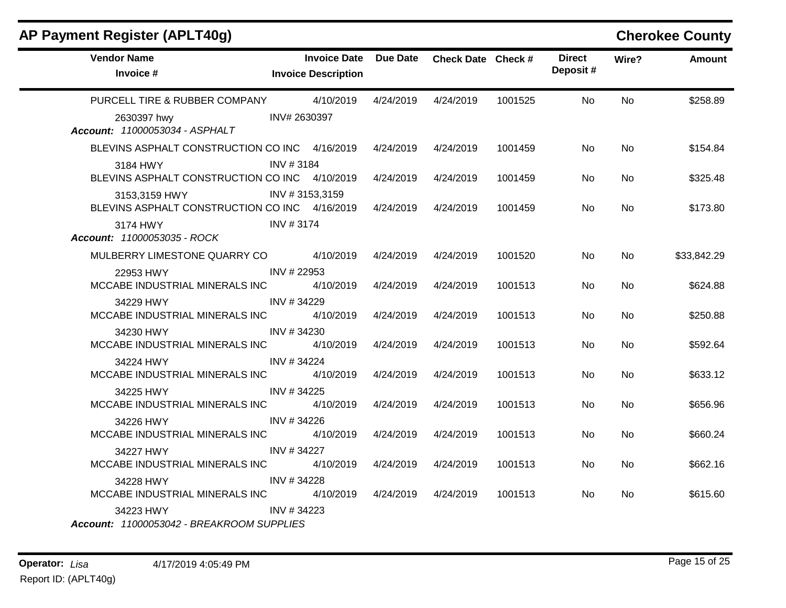## **AP Payment Register (APLT40g) Cherokee County**

| <b>Vendor Name</b><br>Invoice #                                                                                                                  | <b>Invoice Description</b> | Invoice Date Due Date Check Date Check # |           |         | <b>Direct</b><br>Deposit# | Wire?     | <b>Amount</b> |
|--------------------------------------------------------------------------------------------------------------------------------------------------|----------------------------|------------------------------------------|-----------|---------|---------------------------|-----------|---------------|
| PURCELL TIRE & RUBBER COMPANY 4/10/2019                                                                                                          |                            | 4/24/2019                                | 4/24/2019 | 1001525 | No.                       | No.       | \$258.89      |
| INV# 2630397<br>2630397 hwy<br>Account: 11000053034 - ASPHALT                                                                                    |                            |                                          |           |         |                           |           |               |
| BLEVINS ASPHALT CONSTRUCTION CO INC 4/16/2019                                                                                                    |                            | 4/24/2019                                | 4/24/2019 | 1001459 | No.                       | No        | \$154.84      |
| 3184 HWY                                                                                                                                         | INV #3184                  |                                          |           |         |                           |           |               |
| BLEVINS ASPHALT CONSTRUCTION CO INC 4/10/2019                                                                                                    |                            | 4/24/2019                                | 4/24/2019 | 1001459 | No.                       | <b>No</b> | \$325.48      |
| 3153,3159 HWY<br>BLEVINS ASPHALT CONSTRUCTION CO INC 4/16/2019                                                                                   | INV #3153,3159             | 4/24/2019                                | 4/24/2019 | 1001459 | No.                       | <b>No</b> | \$173.80      |
| 3174 HWY<br>Account: 11000053035 - ROCK                                                                                                          | INV #3174                  |                                          |           |         |                           |           |               |
| MULBERRY LIMESTONE QUARRY CO 4/10/2019                                                                                                           |                            | 4/24/2019                                | 4/24/2019 | 1001520 | No.                       | No.       | \$33,842.29   |
| 22953 HWY<br>MCCABE INDUSTRIAL MINERALS INC                                                                                                      | INV #22953<br>4/10/2019    | 4/24/2019                                | 4/24/2019 | 1001513 | No.                       | <b>No</b> | \$624.88      |
| 34229 HWY<br>MCCABE INDUSTRIAL MINERALS INC                                                                                                      | INV #34229<br>4/10/2019    | 4/24/2019                                | 4/24/2019 | 1001513 | No.                       | No.       | \$250.88      |
| 34230 HWY 2007 12:00 12:00 12:00 12:00 12:00 12:00 12:00 12:00 12:00 12:00 12:00 12:00 12:00 12:00 1                                             | INV #34230                 |                                          |           |         |                           |           |               |
| MCCABE INDUSTRIAL MINERALS INC 4/10/2019                                                                                                         |                            | 4/24/2019                                | 4/24/2019 | 1001513 | <b>No</b>                 | <b>No</b> | \$592.64      |
| 34224 HWY<br>MCCABE INDUSTRIAL MINERALS INC                                                                                                      | INV #34224<br>4/10/2019    | 4/24/2019                                | 4/24/2019 | 1001513 | No.                       | <b>No</b> | \$633.12      |
| 34225 HWY                                                                                                                                        | INV #34225                 |                                          |           |         |                           |           |               |
| MCCABE INDUSTRIAL MINERALS INC                                                                                                                   | 4/10/2019                  | 4/24/2019                                | 4/24/2019 | 1001513 | No.                       | No        | \$656.96      |
| 34226 HWY 2007 12:00 12:00 12:00 12:00 12:00 12:00 12:00 12:00 12:00 12:00 12:00 12:00 12:00 12:00 1<br>MCCABE INDUSTRIAL MINERALS INC 4/10/2019 | INV #34226                 | 4/24/2019                                | 4/24/2019 | 1001513 | No                        | No        | \$660.24      |
| 34227 HWY<br>MCCABE INDUSTRIAL MINERALS INC                                                                                                      | INV #34227<br>4/10/2019    | 4/24/2019                                | 4/24/2019 | 1001513 | No.                       | <b>No</b> | \$662.16      |
| 34228 HWY<br>MCCABE INDUSTRIAL MINERALS INC                                                                                                      | INV #34228<br>4/10/2019    | 4/24/2019                                | 4/24/2019 | 1001513 | No                        | <b>No</b> | \$615.60      |
| 34223 HWY INV # 34223<br>Account: 11000053042 - BREAKROOM SUPPLIES                                                                               |                            |                                          |           |         |                           |           |               |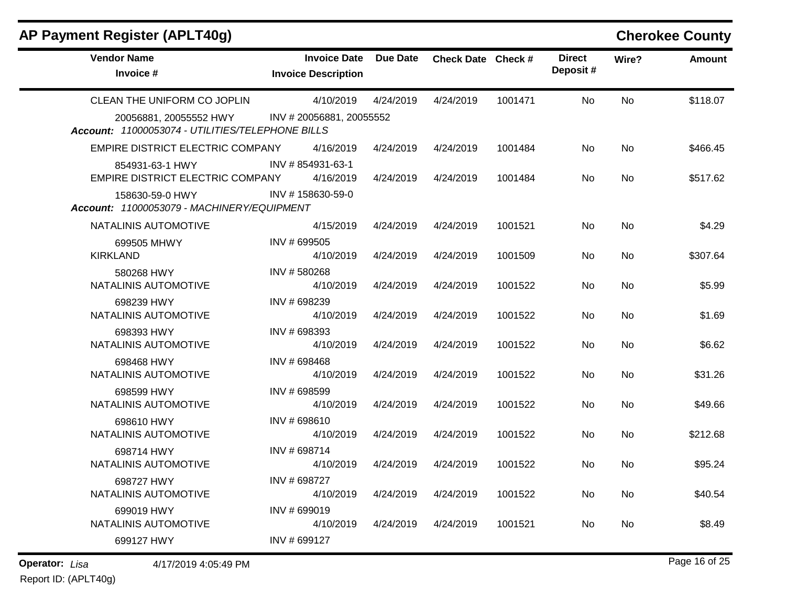## **AP Payment Register (APLT40g) Cherokee County**

| <b>Vendor Name</b><br>Invoice #                               | <b>Invoice Date</b><br><b>Invoice Description</b> | <b>Due Date</b> | Check Date Check # |         | <b>Direct</b><br>Deposit# | Wire?     | Amount   |
|---------------------------------------------------------------|---------------------------------------------------|-----------------|--------------------|---------|---------------------------|-----------|----------|
| CLEAN THE UNIFORM CO JOPLIN<br>20056881, 20055552 HWY         | 4/10/2019<br>INV #20056881, 20055552              | 4/24/2019       | 4/24/2019          | 1001471 | No.                       | <b>No</b> | \$118.07 |
| Account: 11000053074 - UTILITIES/TELEPHONE BILLS              |                                                   |                 |                    |         |                           |           |          |
| EMPIRE DISTRICT ELECTRIC COMPANY                              | 4/16/2019                                         | 4/24/2019       | 4/24/2019          | 1001484 | No                        | <b>No</b> | \$466.45 |
| 854931-63-1 HWY<br>EMPIRE DISTRICT ELECTRIC COMPANY           | INV #854931-63-1<br>4/16/2019                     | 4/24/2019       | 4/24/2019          | 1001484 | No                        | No.       | \$517.62 |
| 158630-59-0 HWY<br>Account: 11000053079 - MACHINERY/EQUIPMENT | INV #158630-59-0                                  |                 |                    |         |                           |           |          |
| NATALINIS AUTOMOTIVE                                          | 4/15/2019                                         | 4/24/2019       | 4/24/2019          | 1001521 | No                        | <b>No</b> | \$4.29   |
| 699505 MHWY<br><b>KIRKLAND</b>                                | INV # 699505<br>4/10/2019                         | 4/24/2019       | 4/24/2019          | 1001509 | No                        | <b>No</b> | \$307.64 |
| 580268 HWY<br>NATALINIS AUTOMOTIVE                            | INV #580268<br>4/10/2019                          | 4/24/2019       | 4/24/2019          | 1001522 | No                        | <b>No</b> | \$5.99   |
| 698239 HWY<br>NATALINIS AUTOMOTIVE                            | INV #698239<br>4/10/2019                          | 4/24/2019       | 4/24/2019          | 1001522 | No                        | <b>No</b> | \$1.69   |
| 698393 HWY<br>NATALINIS AUTOMOTIVE                            | INV #698393<br>4/10/2019                          | 4/24/2019       | 4/24/2019          | 1001522 | No                        | <b>No</b> | \$6.62   |
| 698468 HWY<br>NATALINIS AUTOMOTIVE                            | INV # 698468<br>4/10/2019                         | 4/24/2019       | 4/24/2019          | 1001522 | No                        | <b>No</b> | \$31.26  |
| 698599 HWY<br>NATALINIS AUTOMOTIVE                            | INV # 698599<br>4/10/2019                         | 4/24/2019       | 4/24/2019          | 1001522 | No                        | <b>No</b> | \$49.66  |
| 698610 HWY<br>NATALINIS AUTOMOTIVE                            | INV # 698610<br>4/10/2019                         | 4/24/2019       | 4/24/2019          | 1001522 | No                        | No        | \$212.68 |
| 698714 HWY<br>NATALINIS AUTOMOTIVE                            | INV # 698714<br>4/10/2019                         | 4/24/2019       | 4/24/2019          | 1001522 | No                        | <b>No</b> | \$95.24  |
| 698727 HWY<br>NATALINIS AUTOMOTIVE                            | INV #698727<br>4/10/2019                          | 4/24/2019       | 4/24/2019          | 1001522 | No                        | <b>No</b> | \$40.54  |
| 699019 HWY<br>NATALINIS AUTOMOTIVE                            | INV #699019<br>4/10/2019                          | 4/24/2019       | 4/24/2019          | 1001521 | No                        | <b>No</b> | \$8.49   |
| 699127 HWY                                                    | INV # 699127                                      |                 |                    |         |                           |           |          |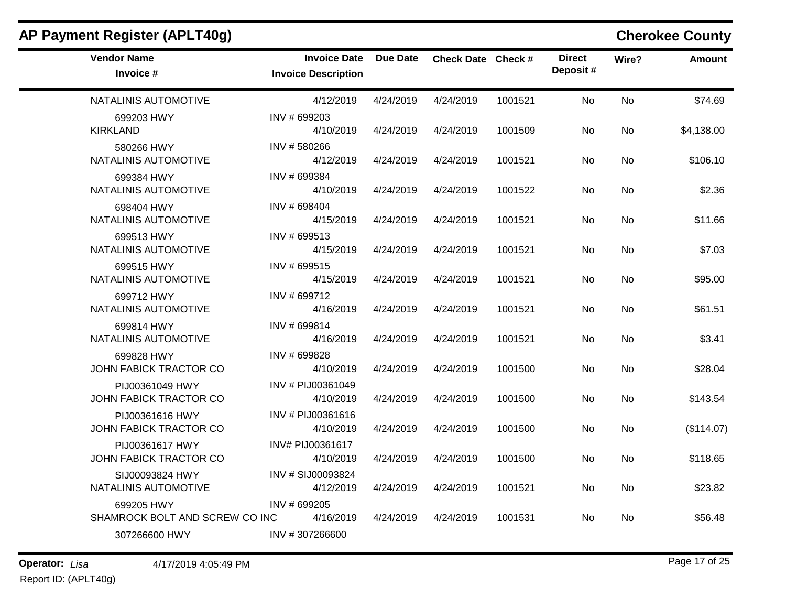| AP Payment Register (APLT40g)                |                                                   |                 |                    |         |                           |           | <b>Cherokee County</b> |
|----------------------------------------------|---------------------------------------------------|-----------------|--------------------|---------|---------------------------|-----------|------------------------|
| <b>Vendor Name</b><br>Invoice #              | <b>Invoice Date</b><br><b>Invoice Description</b> | <b>Due Date</b> | Check Date Check # |         | <b>Direct</b><br>Deposit# | Wire?     | <b>Amount</b>          |
| NATALINIS AUTOMOTIVE                         | 4/12/2019                                         | 4/24/2019       | 4/24/2019          | 1001521 | No                        | No        | \$74.69                |
| 699203 HWY<br><b>KIRKLAND</b>                | INV #699203<br>4/10/2019                          | 4/24/2019       | 4/24/2019          | 1001509 | No                        | No        | \$4,138.00             |
| 580266 HWY<br>NATALINIS AUTOMOTIVE           | INV #580266<br>4/12/2019                          | 4/24/2019       | 4/24/2019          | 1001521 | No                        | No        | \$106.10               |
| 699384 HWY<br>NATALINIS AUTOMOTIVE           | INV #699384<br>4/10/2019                          | 4/24/2019       | 4/24/2019          | 1001522 | No                        | No.       | \$2.36                 |
| 698404 HWY<br>NATALINIS AUTOMOTIVE           | INV #698404<br>4/15/2019                          | 4/24/2019       | 4/24/2019          | 1001521 | No                        | No        | \$11.66                |
| 699513 HWY<br>NATALINIS AUTOMOTIVE           | INV # 699513<br>4/15/2019                         | 4/24/2019       | 4/24/2019          | 1001521 | No                        | <b>No</b> | \$7.03                 |
| 699515 HWY<br>NATALINIS AUTOMOTIVE           | INV # 699515<br>4/15/2019                         | 4/24/2019       | 4/24/2019          | 1001521 | No                        | No        | \$95.00                |
| 699712 HWY<br>NATALINIS AUTOMOTIVE           | INV # 699712<br>4/16/2019                         | 4/24/2019       | 4/24/2019          | 1001521 | <b>No</b>                 | No        | \$61.51                |
| 699814 HWY<br>NATALINIS AUTOMOTIVE           | INV #699814<br>4/16/2019                          | 4/24/2019       | 4/24/2019          | 1001521 | No                        | No        | \$3.41                 |
| 699828 HWY<br><b>JOHN FABICK TRACTOR CO</b>  | INV # 699828<br>4/10/2019                         | 4/24/2019       | 4/24/2019          | 1001500 | No                        | No        | \$28.04                |
| PIJ00361049 HWY<br>JOHN FABICK TRACTOR CO    | INV # PIJ00361049<br>4/10/2019                    | 4/24/2019       | 4/24/2019          | 1001500 | No.                       | No.       | \$143.54               |
| PIJ00361616 HWY<br>JOHN FABICK TRACTOR CO    | INV # PIJ00361616<br>4/10/2019                    | 4/24/2019       | 4/24/2019          | 1001500 | No                        | No        | (\$114.07)             |
| PIJ00361617 HWY<br>JOHN FABICK TRACTOR CO    | INV# PIJ00361617<br>4/10/2019                     | 4/24/2019       | 4/24/2019          | 1001500 | No                        | No        | \$118.65               |
| SIJ00093824 HWY<br>NATALINIS AUTOMOTIVE      | INV # SIJ00093824<br>4/12/2019                    | 4/24/2019       | 4/24/2019          | 1001521 | No                        | No        | \$23.82                |
| 699205 HWY<br>SHAMROCK BOLT AND SCREW CO INC | INV # 699205<br>4/16/2019                         | 4/24/2019       | 4/24/2019          | 1001531 | No.                       | No        | \$56.48                |
| 307266600 HWY                                | INV #307266600                                    |                 |                    |         |                           |           |                        |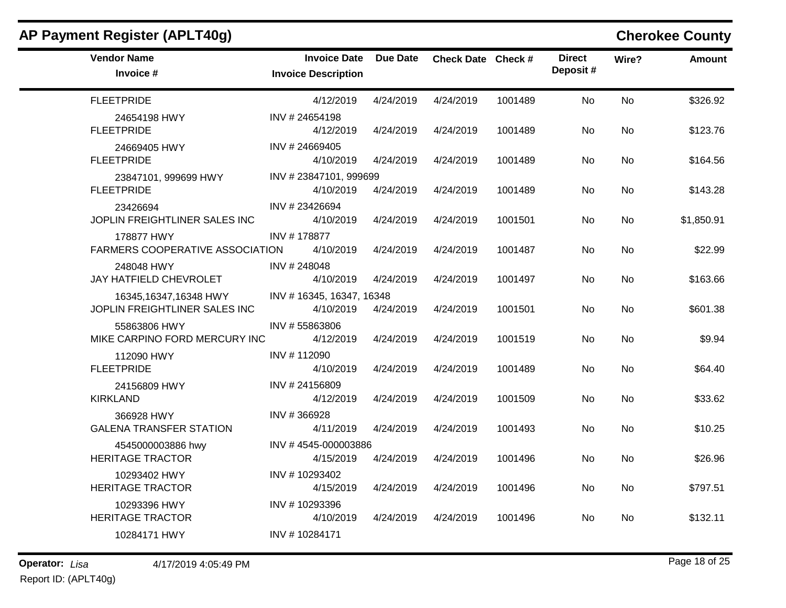| AP Payment Register (APLT40g)                            |                                                   |           |                    |         |                           |           | <b>Cherokee County</b> |
|----------------------------------------------------------|---------------------------------------------------|-----------|--------------------|---------|---------------------------|-----------|------------------------|
| <b>Vendor Name</b><br>Invoice #                          | <b>Invoice Date</b><br><b>Invoice Description</b> | Due Date  | Check Date Check # |         | <b>Direct</b><br>Deposit# | Wire?     | <b>Amount</b>          |
| <b>FLEETPRIDE</b>                                        | 4/12/2019                                         | 4/24/2019 | 4/24/2019          | 1001489 | <b>No</b>                 | <b>No</b> | \$326.92               |
| 24654198 HWY<br><b>FLEETPRIDE</b>                        | INV #24654198<br>4/12/2019                        | 4/24/2019 | 4/24/2019          | 1001489 | No                        | No        | \$123.76               |
| 24669405 HWY<br><b>FLEETPRIDE</b>                        | INV #24669405<br>4/10/2019                        | 4/24/2019 | 4/24/2019          | 1001489 | No                        | No.       | \$164.56               |
| 23847101, 999699 HWY<br><b>FLEETPRIDE</b>                | INV #23847101, 999699<br>4/10/2019                | 4/24/2019 | 4/24/2019          | 1001489 | No                        | <b>No</b> | \$143.28               |
| 23426694<br>JOPLIN FREIGHTLINER SALES INC                | INV #23426694<br>4/10/2019                        | 4/24/2019 | 4/24/2019          | 1001501 | No.                       | No.       | \$1,850.91             |
| 178877 HWY<br>FARMERS COOPERATIVE ASSOCIATION            | INV #178877<br>4/10/2019                          | 4/24/2019 | 4/24/2019          | 1001487 | No                        | <b>No</b> | \$22.99                |
| 248048 HWY<br>JAY HATFIELD CHEVROLET                     | INV #248048<br>4/10/2019                          | 4/24/2019 | 4/24/2019          | 1001497 | No                        | No        | \$163.66               |
| 16345, 16347, 16348 HWY<br>JOPLIN FREIGHTLINER SALES INC | INV #16345, 16347, 16348<br>4/10/2019             | 4/24/2019 | 4/24/2019          | 1001501 | No                        | <b>No</b> | \$601.38               |
| 55863806 HWY<br>MIKE CARPINO FORD MERCURY INC            | INV #55863806<br>4/12/2019                        | 4/24/2019 | 4/24/2019          | 1001519 | No                        | No.       | \$9.94                 |
| 112090 HWY<br><b>FLEETPRIDE</b>                          | INV #112090<br>4/10/2019                          | 4/24/2019 | 4/24/2019          | 1001489 | No.                       | <b>No</b> | \$64.40                |
| 24156809 HWY<br><b>KIRKLAND</b>                          | INV #24156809<br>4/12/2019                        | 4/24/2019 | 4/24/2019          | 1001509 | No                        | <b>No</b> | \$33.62                |
| 366928 HWY<br><b>GALENA TRANSFER STATION</b>             | INV #366928<br>4/11/2019                          | 4/24/2019 | 4/24/2019          | 1001493 | No                        | No        | \$10.25                |
| 4545000003886 hwy<br><b>HERITAGE TRACTOR</b>             | INV #4545-000003886<br>4/15/2019                  | 4/24/2019 | 4/24/2019          | 1001496 | <b>No</b>                 | <b>No</b> | \$26.96                |
| 10293402 HWY<br><b>HERITAGE TRACTOR</b>                  | INV #10293402<br>4/15/2019                        | 4/24/2019 | 4/24/2019          | 1001496 | No                        | <b>No</b> | \$797.51               |
| 10293396 HWY<br><b>HERITAGE TRACTOR</b>                  | INV #10293396<br>4/10/2019                        | 4/24/2019 | 4/24/2019          | 1001496 | No                        | <b>No</b> | \$132.11               |
| 10284171 HWY                                             | INV #10284171                                     |           |                    |         |                           |           |                        |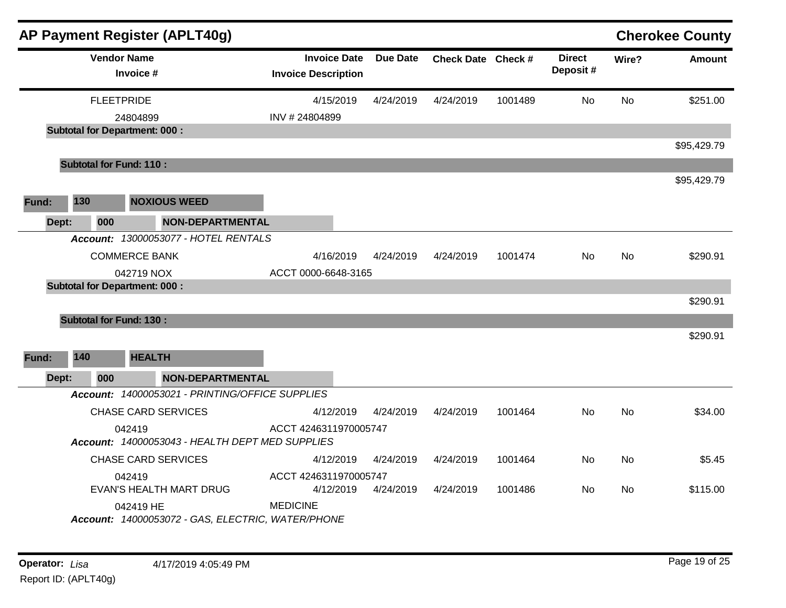|       |     | AP Payment Register (APLT40g)                                  |                                                   |           |                    |         |                           |           | <b>Cherokee County</b> |
|-------|-----|----------------------------------------------------------------|---------------------------------------------------|-----------|--------------------|---------|---------------------------|-----------|------------------------|
|       |     | <b>Vendor Name</b><br>Invoice #                                | <b>Invoice Date</b><br><b>Invoice Description</b> | Due Date  | Check Date Check # |         | <b>Direct</b><br>Deposit# | Wire?     | <b>Amount</b>          |
|       |     | <b>FLEETPRIDE</b>                                              | 4/15/2019                                         | 4/24/2019 | 4/24/2019          | 1001489 | <b>No</b>                 | <b>No</b> | \$251.00               |
|       |     | 24804899                                                       | INV #24804899                                     |           |                    |         |                           |           |                        |
|       |     | <b>Subtotal for Department: 000:</b>                           |                                                   |           |                    |         |                           |           |                        |
|       |     |                                                                |                                                   |           |                    |         |                           |           | \$95,429.79            |
|       |     | <b>Subtotal for Fund: 110:</b>                                 |                                                   |           |                    |         |                           |           |                        |
|       |     |                                                                |                                                   |           |                    |         |                           |           | \$95,429.79            |
| Fund: | 130 | <b>NOXIOUS WEED</b>                                            |                                                   |           |                    |         |                           |           |                        |
| Dept: | 000 | <b>NON-DEPARTMENTAL</b>                                        |                                                   |           |                    |         |                           |           |                        |
|       |     | Account: 13000053077 - HOTEL RENTALS                           |                                                   |           |                    |         |                           |           |                        |
|       |     | <b>COMMERCE BANK</b>                                           | 4/16/2019                                         | 4/24/2019 | 4/24/2019          | 1001474 | No                        | <b>No</b> | \$290.91               |
|       |     | 042719 NOX                                                     | ACCT 0000-6648-3165                               |           |                    |         |                           |           |                        |
|       |     | <b>Subtotal for Department: 000:</b>                           |                                                   |           |                    |         |                           |           |                        |
|       |     |                                                                |                                                   |           |                    |         |                           |           | \$290.91               |
|       |     | <b>Subtotal for Fund: 130:</b>                                 |                                                   |           |                    |         |                           |           |                        |
|       |     |                                                                |                                                   |           |                    |         |                           |           | \$290.91               |
| Fund: | 140 | <b>HEALTH</b>                                                  |                                                   |           |                    |         |                           |           |                        |
|       |     |                                                                |                                                   |           |                    |         |                           |           |                        |
| Dept: | 000 | <b>NON-DEPARTMENTAL</b>                                        |                                                   |           |                    |         |                           |           |                        |
|       |     | Account: 14000053021 - PRINTING/OFFICE SUPPLIES                |                                                   |           |                    |         |                           |           |                        |
|       |     | <b>CHASE CARD SERVICES</b>                                     | 4/12/2019                                         | 4/24/2019 | 4/24/2019          | 1001464 | No                        | No.       | \$34.00                |
|       |     | 042419<br>Account: 14000053043 - HEALTH DEPT MED SUPPLIES      | ACCT 4246311970005747                             |           |                    |         |                           |           |                        |
|       |     | <b>CHASE CARD SERVICES</b>                                     | 4/12/2019                                         | 4/24/2019 | 4/24/2019          | 1001464 | <b>No</b>                 | <b>No</b> | \$5.45                 |
|       |     | 042419                                                         | ACCT 4246311970005747                             |           |                    |         |                           |           |                        |
|       |     | EVAN'S HEALTH MART DRUG                                        | 4/12/2019                                         | 4/24/2019 | 4/24/2019          | 1001486 | No                        | No.       | \$115.00               |
|       |     | 042419 HE<br>Account: 14000053072 - GAS, ELECTRIC, WATER/PHONE | <b>MEDICINE</b>                                   |           |                    |         |                           |           |                        |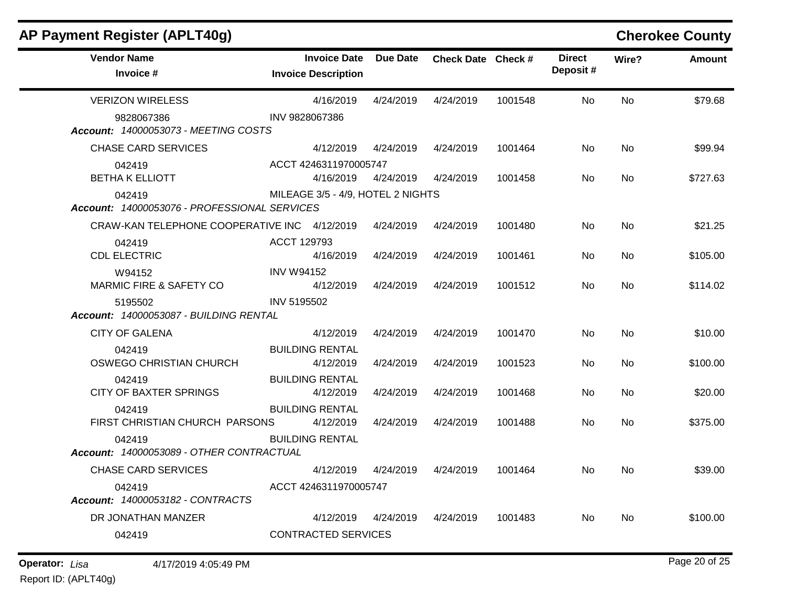| AP Payment Register (APLT40g)                          |                   |                                                   |                      |                    |         |                           |           | <b>Cherokee County</b> |
|--------------------------------------------------------|-------------------|---------------------------------------------------|----------------------|--------------------|---------|---------------------------|-----------|------------------------|
| <b>Vendor Name</b><br>Invoice #                        |                   | <b>Invoice Date</b><br><b>Invoice Description</b> | Due Date             | Check Date Check # |         | <b>Direct</b><br>Deposit# | Wire?     | <b>Amount</b>          |
| <b>VERIZON WIRELESS</b>                                |                   | 4/16/2019                                         | 4/24/2019            | 4/24/2019          | 1001548 | No                        | <b>No</b> | \$79.68                |
| 9828067386<br>Account: 14000053073 - MEETING COSTS     | INV 9828067386    |                                                   |                      |                    |         |                           |           |                        |
| <b>CHASE CARD SERVICES</b>                             |                   | 4/12/2019                                         | 4/24/2019            | 4/24/2019          | 1001464 | No                        | No        | \$99.94                |
| 042419<br><b>BETHA K ELLIOTT</b>                       |                   | ACCT 4246311970005747<br>4/16/2019                | 4/24/2019            | 4/24/2019          | 1001458 | No                        | No.       | \$727.63               |
| 042419<br>Account: 14000053076 - PROFESSIONAL SERVICES |                   | MILEAGE 3/5 - 4/9, HOTEL 2 NIGHTS                 |                      |                    |         |                           |           |                        |
| CRAW-KAN TELEPHONE COOPERATIVE INC 4/12/2019           |                   |                                                   | 4/24/2019            | 4/24/2019          | 1001480 | No                        | <b>No</b> | \$21.25                |
| 042419<br><b>CDL ELECTRIC</b>                          | ACCT 129793       | 4/16/2019                                         | 4/24/2019            | 4/24/2019          | 1001461 | No                        | <b>No</b> | \$105.00               |
| W94152<br><b>MARMIC FIRE &amp; SAFETY CO</b>           | <b>INV W94152</b> | 4/12/2019                                         | 4/24/2019            | 4/24/2019          | 1001512 | No                        | <b>No</b> | \$114.02               |
| 5195502<br>Account: 14000053087 - BUILDING RENTAL      | INV 5195502       |                                                   |                      |                    |         |                           |           |                        |
| <b>CITY OF GALENA</b>                                  |                   | 4/12/2019                                         | 4/24/2019            | 4/24/2019          | 1001470 | No                        | <b>No</b> | \$10.00                |
| 042419<br>OSWEGO CHRISTIAN CHURCH                      |                   | <b>BUILDING RENTAL</b><br>4/12/2019               | 4/24/2019            | 4/24/2019          | 1001523 | No                        | <b>No</b> | \$100.00               |
| 042419<br><b>CITY OF BAXTER SPRINGS</b>                |                   | <b>BUILDING RENTAL</b><br>4/12/2019               | 4/24/2019            | 4/24/2019          | 1001468 | No                        | <b>No</b> | \$20.00                |
| 042419<br>FIRST CHRISTIAN CHURCH PARSONS               |                   | <b>BUILDING RENTAL</b><br>4/12/2019               | 4/24/2019            | 4/24/2019          | 1001488 | No                        | <b>No</b> | \$375.00               |
| 042419<br>Account: 14000053089 - OTHER CONTRACTUAL     |                   | <b>BUILDING RENTAL</b>                            |                      |                    |         |                           |           |                        |
| <b>CHASE CARD SERVICES</b>                             |                   | 4/12/2019                                         | 4/24/2019  4/24/2019 |                    | 1001464 | No.                       | No.       | \$39.00                |
| 042419<br>Account: 14000053182 - CONTRACTS             |                   | ACCT 4246311970005747                             |                      |                    |         |                           |           |                        |
| DR JONATHAN MANZER                                     |                   | 4/12/2019  4/24/2019                              |                      | 4/24/2019          | 1001483 | No.                       | No        | \$100.00               |
| 042419                                                 |                   | CONTRACTED SERVICES                               |                      |                    |         |                           |           |                        |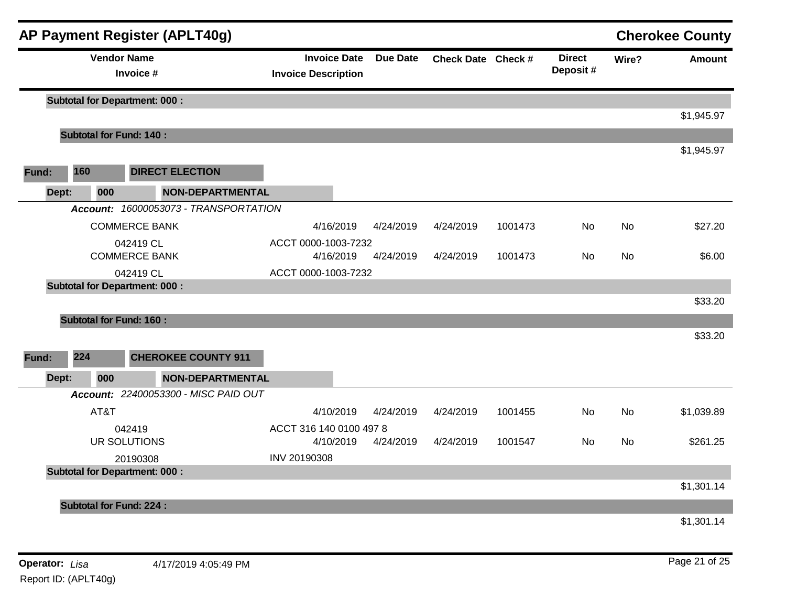|       |                                                   |                                      |           | AP Payment Register (APLT40g)         |                                                   |                 |                    |         |                           |           | <b>Cherokee County</b> |
|-------|---------------------------------------------------|--------------------------------------|-----------|---------------------------------------|---------------------------------------------------|-----------------|--------------------|---------|---------------------------|-----------|------------------------|
|       |                                                   | <b>Vendor Name</b>                   | Invoice # |                                       | <b>Invoice Date</b><br><b>Invoice Description</b> | <b>Due Date</b> | Check Date Check # |         | <b>Direct</b><br>Deposit# | Wire?     | <b>Amount</b>          |
|       |                                                   | <b>Subtotal for Department: 000:</b> |           |                                       |                                                   |                 |                    |         |                           |           |                        |
|       |                                                   |                                      |           |                                       |                                                   |                 |                    |         |                           |           | \$1,945.97             |
|       |                                                   | <b>Subtotal for Fund: 140:</b>       |           |                                       |                                                   |                 |                    |         |                           |           |                        |
| Fund: | 160                                               |                                      |           | <b>DIRECT ELECTION</b>                |                                                   |                 |                    |         |                           |           | \$1,945.97             |
|       | Dept:                                             | 000                                  |           | <b>NON-DEPARTMENTAL</b>               |                                                   |                 |                    |         |                           |           |                        |
|       |                                                   |                                      |           | Account: 16000053073 - TRANSPORTATION |                                                   |                 |                    |         |                           |           |                        |
|       |                                                   | <b>COMMERCE BANK</b>                 |           |                                       | 4/16/2019                                         | 4/24/2019       | 4/24/2019          | 1001473 | No                        | <b>No</b> | \$27.20                |
|       |                                                   |                                      | 042419 CL |                                       | ACCT 0000-1003-7232                               |                 |                    |         |                           |           |                        |
|       |                                                   | <b>COMMERCE BANK</b>                 |           |                                       | 4/16/2019                                         | 4/24/2019       | 4/24/2019          | 1001473 | No                        | No        | \$6.00                 |
|       | 042419 CL<br><b>Subtotal for Department: 000:</b> |                                      |           |                                       | ACCT 0000-1003-7232                               |                 |                    |         |                           |           |                        |
|       |                                                   |                                      |           |                                       |                                                   |                 |                    |         |                           |           |                        |
|       |                                                   |                                      |           |                                       |                                                   |                 |                    |         |                           |           | \$33.20                |
|       |                                                   | <b>Subtotal for Fund: 160:</b>       |           |                                       |                                                   |                 |                    |         |                           |           |                        |
|       |                                                   |                                      |           |                                       |                                                   |                 |                    |         |                           |           | \$33.20                |
| Fund: | 224                                               |                                      |           | <b>CHEROKEE COUNTY 911</b>            |                                                   |                 |                    |         |                           |           |                        |
|       | Dept:                                             | 000                                  |           | <b>NON-DEPARTMENTAL</b>               |                                                   |                 |                    |         |                           |           |                        |
|       |                                                   |                                      |           | Account: 22400053300 - MISC PAID OUT  |                                                   |                 |                    |         |                           |           |                        |
|       |                                                   | AT&T                                 |           |                                       | 4/10/2019                                         | 4/24/2019       | 4/24/2019          | 1001455 | No                        | No.       | \$1,039.89             |
|       |                                                   |                                      | 042419    |                                       | ACCT 316 140 0100 497 8                           |                 |                    |         |                           |           |                        |
|       |                                                   | UR SOLUTIONS                         |           |                                       | 4/10/2019                                         | 4/24/2019       | 4/24/2019          | 1001547 | <b>No</b>                 | No        | \$261.25               |
|       |                                                   |                                      | 20190308  |                                       | INV 20190308                                      |                 |                    |         |                           |           |                        |
|       |                                                   | <b>Subtotal for Department: 000:</b> |           |                                       |                                                   |                 |                    |         |                           |           |                        |
|       |                                                   |                                      |           |                                       |                                                   |                 |                    |         |                           |           | \$1,301.14             |
|       |                                                   | <b>Subtotal for Fund: 224:</b>       |           |                                       |                                                   |                 |                    |         |                           |           |                        |
|       |                                                   |                                      |           |                                       |                                                   |                 |                    |         |                           |           | \$1,301.14             |
|       |                                                   |                                      |           |                                       |                                                   |                 |                    |         |                           |           |                        |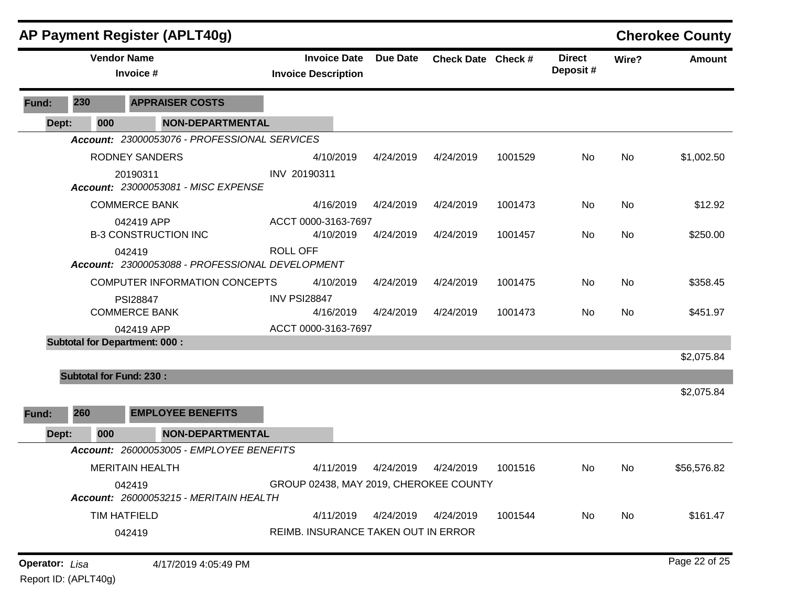|       |                                | <b>AP Payment Register (APLT40g)</b>                      |                                                   |           |                    |         |                           |           | <b>Cherokee County</b> |
|-------|--------------------------------|-----------------------------------------------------------|---------------------------------------------------|-----------|--------------------|---------|---------------------------|-----------|------------------------|
|       |                                | <b>Vendor Name</b><br>Invoice #                           | <b>Invoice Date</b><br><b>Invoice Description</b> | Due Date  | Check Date Check # |         | <b>Direct</b><br>Deposit# | Wire?     | <b>Amount</b>          |
| Fund: | 230                            | <b>APPRAISER COSTS</b>                                    |                                                   |           |                    |         |                           |           |                        |
| Dept: | 000                            | <b>NON-DEPARTMENTAL</b>                                   |                                                   |           |                    |         |                           |           |                        |
|       |                                | Account: 23000053076 - PROFESSIONAL SERVICES              |                                                   |           |                    |         |                           |           |                        |
|       |                                | <b>RODNEY SANDERS</b>                                     | 4/10/2019                                         | 4/24/2019 | 4/24/2019          | 1001529 | No                        | <b>No</b> | \$1,002.50             |
|       |                                | 20190311<br>Account: 23000053081 - MISC EXPENSE           | INV 20190311                                      |           |                    |         |                           |           |                        |
|       |                                | <b>COMMERCE BANK</b>                                      | 4/16/2019                                         | 4/24/2019 | 4/24/2019          | 1001473 | No                        | <b>No</b> | \$12.92                |
|       |                                | 042419 APP                                                | ACCT 0000-3163-7697                               |           |                    |         |                           |           |                        |
|       |                                | <b>B-3 CONSTRUCTION INC</b>                               | 4/10/2019                                         | 4/24/2019 | 4/24/2019          | 1001457 | No                        | <b>No</b> | \$250.00               |
|       |                                | 042419<br>Account: 23000053088 - PROFESSIONAL DEVELOPMENT | <b>ROLL OFF</b>                                   |           |                    |         |                           |           |                        |
|       |                                | COMPUTER INFORMATION CONCEPTS                             | 4/10/2019                                         | 4/24/2019 | 4/24/2019          | 1001475 | No                        | <b>No</b> | \$358.45               |
|       |                                | <b>PSI28847</b><br><b>COMMERCE BANK</b>                   | <b>INV PSI28847</b><br>4/16/2019                  | 4/24/2019 | 4/24/2019          | 1001473 | No                        | <b>No</b> | \$451.97               |
|       |                                | 042419 APP                                                | ACCT 0000-3163-7697                               |           |                    |         |                           |           |                        |
|       |                                | <b>Subtotal for Department: 000:</b>                      |                                                   |           |                    |         |                           |           |                        |
|       |                                |                                                           |                                                   |           |                    |         |                           |           | \$2,075.84             |
|       | <b>Subtotal for Fund: 230:</b> |                                                           |                                                   |           |                    |         |                           |           |                        |
|       |                                |                                                           |                                                   |           |                    |         |                           |           | \$2,075.84             |
| Fund: | 260                            | <b>EMPLOYEE BENEFITS</b>                                  |                                                   |           |                    |         |                           |           |                        |
| Dept: | 000                            | <b>NON-DEPARTMENTAL</b>                                   |                                                   |           |                    |         |                           |           |                        |
|       |                                | Account: 26000053005 - EMPLOYEE BENEFITS                  |                                                   |           |                    |         |                           |           |                        |
|       |                                | <b>MERITAIN HEALTH</b>                                    | 4/11/2019                                         | 4/24/2019 | 4/24/2019          | 1001516 | No.                       | No.       | \$56,576.82            |
|       |                                | 042419<br>Account: 26000053215 - MERITAIN HEALTH          | GROUP 02438, MAY 2019, CHEROKEE COUNTY            |           |                    |         |                           |           |                        |
|       |                                | <b>TIM HATFIELD</b>                                       | 4/11/2019                                         | 4/24/2019 | 4/24/2019          | 1001544 | No                        | No        | \$161.47               |
|       |                                | 042419                                                    | REIMB. INSURANCE TAKEN OUT IN ERROR               |           |                    |         |                           |           |                        |

**Operator:** Lisa 4/17/2019 4:05:49 PM

Report ID: (APLT40g)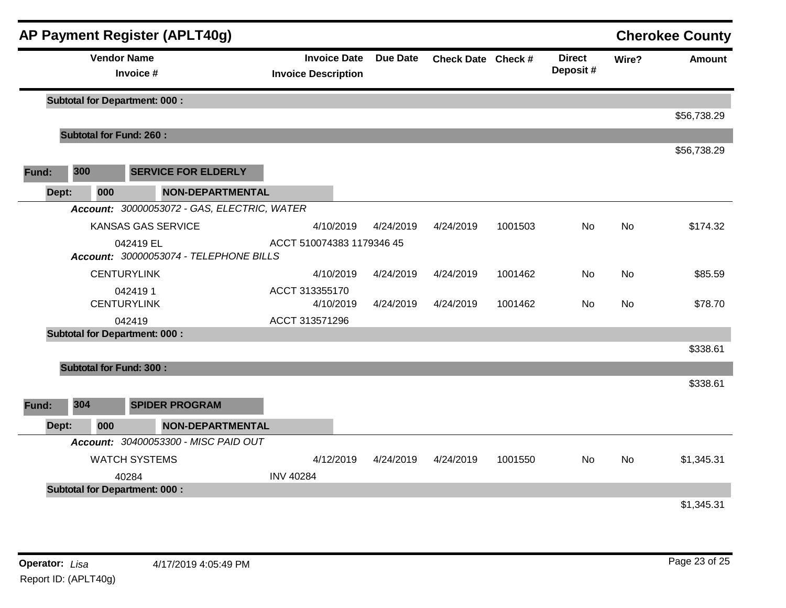|       |       |                    | <b>AP Payment Register (APLT40g)</b>                            |                                                   |                 |                    |         |                           |           | <b>Cherokee County</b> |
|-------|-------|--------------------|-----------------------------------------------------------------|---------------------------------------------------|-----------------|--------------------|---------|---------------------------|-----------|------------------------|
|       |       | <b>Vendor Name</b> | Invoice #                                                       | <b>Invoice Date</b><br><b>Invoice Description</b> | <b>Due Date</b> | Check Date Check # |         | <b>Direct</b><br>Deposit# | Wire?     | <b>Amount</b>          |
|       |       |                    | <b>Subtotal for Department: 000:</b>                            |                                                   |                 |                    |         |                           |           |                        |
|       |       |                    |                                                                 |                                                   |                 |                    |         |                           |           | \$56,738.29            |
|       |       |                    | <b>Subtotal for Fund: 260:</b>                                  |                                                   |                 |                    |         |                           |           | \$56,738.29            |
| Fund: | 300   |                    | <b>SERVICE FOR ELDERLY</b>                                      |                                                   |                 |                    |         |                           |           |                        |
|       | Dept: | 000                | <b>NON-DEPARTMENTAL</b>                                         |                                                   |                 |                    |         |                           |           |                        |
|       |       |                    | Account: 30000053072 - GAS, ELECTRIC, WATER                     |                                                   |                 |                    |         |                           |           |                        |
|       |       |                    | <b>KANSAS GAS SERVICE</b>                                       | 4/10/2019                                         | 4/24/2019       | 4/24/2019          | 1001503 | No                        | <b>No</b> | \$174.32               |
|       |       |                    | 042419 EL<br>Account: 30000053074 - TELEPHONE BILLS             | ACCT 510074383 1179346 45                         |                 |                    |         |                           |           |                        |
|       |       |                    | <b>CENTURYLINK</b>                                              | 4/10/2019                                         | 4/24/2019       | 4/24/2019          | 1001462 | No                        | <b>No</b> | \$85.59                |
|       |       |                    | 0424191<br><b>CENTURYLINK</b>                                   | ACCT 313355170<br>4/10/2019                       | 4/24/2019       | 4/24/2019          | 1001462 | No                        | No.       | \$78.70                |
|       |       |                    | 042419                                                          | ACCT 313571296                                    |                 |                    |         |                           |           |                        |
|       |       |                    | <b>Subtotal for Department: 000:</b>                            |                                                   |                 |                    |         |                           |           |                        |
|       |       |                    |                                                                 |                                                   |                 |                    |         |                           |           | \$338.61               |
|       |       |                    | <b>Subtotal for Fund: 300:</b>                                  |                                                   |                 |                    |         |                           |           | \$338.61               |
| Fund: | 304   |                    | <b>SPIDER PROGRAM</b>                                           |                                                   |                 |                    |         |                           |           |                        |
|       |       | 000                |                                                                 |                                                   |                 |                    |         |                           |           |                        |
|       | Dept: |                    | <b>NON-DEPARTMENTAL</b><br>Account: 30400053300 - MISC PAID OUT |                                                   |                 |                    |         |                           |           |                        |
|       |       |                    | <b>WATCH SYSTEMS</b>                                            | 4/12/2019                                         | 4/24/2019       | 4/24/2019          | 1001550 | No                        | <b>No</b> | \$1,345.31             |
|       |       |                    | 40284                                                           | <b>INV 40284</b>                                  |                 |                    |         |                           |           |                        |
|       |       |                    | <b>Subtotal for Department: 000:</b>                            |                                                   |                 |                    |         |                           |           |                        |
|       |       |                    |                                                                 |                                                   |                 |                    |         |                           |           | \$1,345.31             |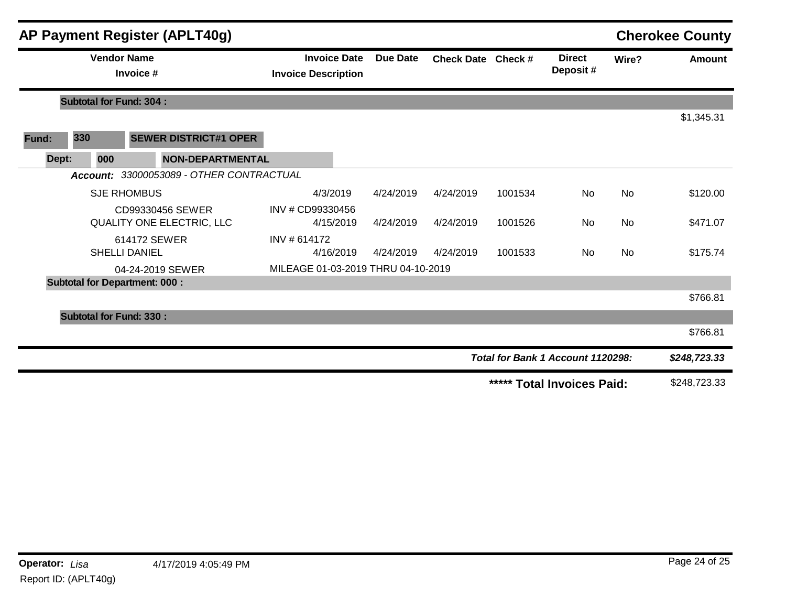|       |       |                    | <b>AP Payment Register (APLT40g)</b>          |                                                   |                 |                    |         |                                   |           | <b>Cherokee County</b> |
|-------|-------|--------------------|-----------------------------------------------|---------------------------------------------------|-----------------|--------------------|---------|-----------------------------------|-----------|------------------------|
|       |       | <b>Vendor Name</b> | Invoice #                                     | <b>Invoice Date</b><br><b>Invoice Description</b> | <b>Due Date</b> | Check Date Check # |         | <b>Direct</b><br>Deposit#         | Wire?     | <b>Amount</b>          |
|       |       |                    | <b>Subtotal for Fund: 304:</b>                |                                                   |                 |                    |         |                                   |           |                        |
|       |       |                    |                                               |                                                   |                 |                    |         |                                   |           | \$1,345.31             |
| Fund: | 330   |                    | <b>SEWER DISTRICT#1 OPER</b>                  |                                                   |                 |                    |         |                                   |           |                        |
|       | Dept: | 000                | <b>NON-DEPARTMENTAL</b>                       |                                                   |                 |                    |         |                                   |           |                        |
|       |       |                    | Account: 33000053089 - OTHER CONTRACTUAL      |                                                   |                 |                    |         |                                   |           |                        |
|       |       |                    | <b>SJE RHOMBUS</b>                            | 4/3/2019                                          | 4/24/2019       | 4/24/2019          | 1001534 | <b>No</b>                         | <b>No</b> | \$120.00               |
|       |       |                    | CD99330456 SEWER<br>QUALITY ONE ELECTRIC, LLC | INV # CD99330456<br>4/15/2019                     | 4/24/2019       | 4/24/2019          | 1001526 | No                                | <b>No</b> | \$471.07               |
|       |       |                    | 614172 SEWER<br><b>SHELLI DANIEL</b>          | INV # 614172<br>4/16/2019                         | 4/24/2019       | 4/24/2019          | 1001533 | No.                               | <b>No</b> | \$175.74               |
|       |       |                    | 04-24-2019 SEWER                              | MILEAGE 01-03-2019 THRU 04-10-2019                |                 |                    |         |                                   |           |                        |
|       |       |                    | <b>Subtotal for Department: 000:</b>          |                                                   |                 |                    |         |                                   |           |                        |
|       |       |                    |                                               |                                                   |                 |                    |         |                                   |           | \$766.81               |
|       |       |                    | <b>Subtotal for Fund: 330:</b>                |                                                   |                 |                    |         |                                   |           |                        |
|       |       |                    |                                               |                                                   |                 |                    |         |                                   |           | \$766.81               |
|       |       |                    |                                               |                                                   |                 |                    |         | Total for Bank 1 Account 1120298: |           | \$248,723.33           |
|       |       |                    |                                               |                                                   |                 |                    |         | ***** Total Invoices Paid:        |           | \$248,723.33           |